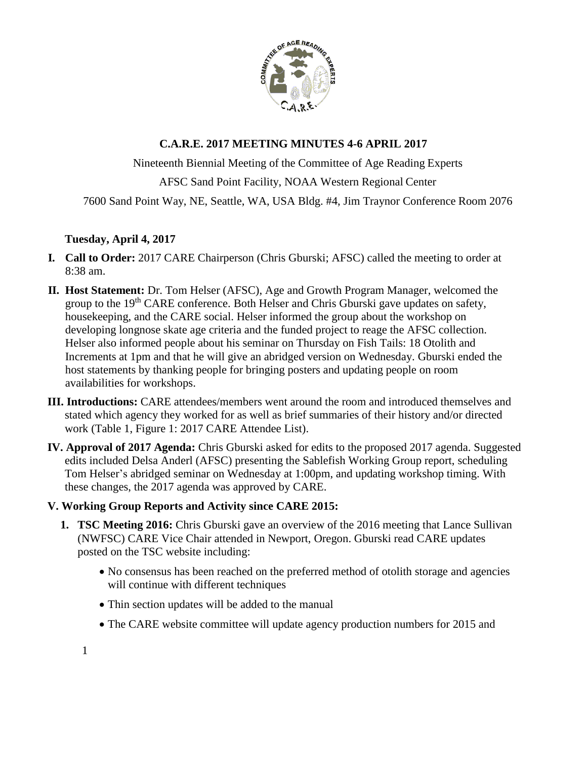

# **C.A.R.E. 2017 MEETING MINUTES 4-6 APRIL 2017**

Nineteenth Biennial Meeting of the Committee of Age Reading Experts AFSC Sand Point Facility, NOAA Western Regional Center 7600 Sand Point Way, NE, Seattle, WA, USA Bldg. #4, Jim Traynor Conference Room 2076

## **Tuesday, April 4, 2017**

- **I. Call to Order:** 2017 CARE Chairperson (Chris Gburski; AFSC) called the meeting to order at 8:38 am.
- **II. Host Statement:** Dr. Tom Helser (AFSC), Age and Growth Program Manager, welcomed the group to the 19<sup>th</sup> CARE conference. Both Helser and Chris Gburski gave updates on safety, housekeeping, and the CARE social. Helser informed the group about the workshop on developing longnose skate age criteria and the funded project to reage the AFSC collection. Helser also informed people about his seminar on Thursday on Fish Tails: 18 Otolith and Increments at 1pm and that he will give an abridged version on Wednesday. Gburski ended the host statements by thanking people for bringing posters and updating people on room availabilities for workshops.
- **III. Introductions:** CARE attendees/members went around the room and introduced themselves and stated which agency they worked for as well as brief summaries of their history and/or directed work (Table 1, Figure 1: 2017 CARE Attendee List).
- **IV. Approval of 2017 Agenda:** Chris Gburski asked for edits to the proposed 2017 agenda. Suggested edits included Delsa Anderl (AFSC) presenting the Sablefish Working Group report, scheduling Tom Helser's abridged seminar on Wednesday at 1:00pm, and updating workshop timing. With these changes, the 2017 agenda was approved by CARE.

## **V. Working Group Reports and Activity since CARE 2015:**

- **1. TSC Meeting 2016:** Chris Gburski gave an overview of the 2016 meeting that Lance Sullivan (NWFSC) CARE Vice Chair attended in Newport, Oregon. Gburski read CARE updates posted on the TSC website including:
	- No consensus has been reached on the preferred method of otolith storage and agencies will continue with different techniques
	- Thin section updates will be added to the manual
	- The CARE website committee will update agency production numbers for 2015 and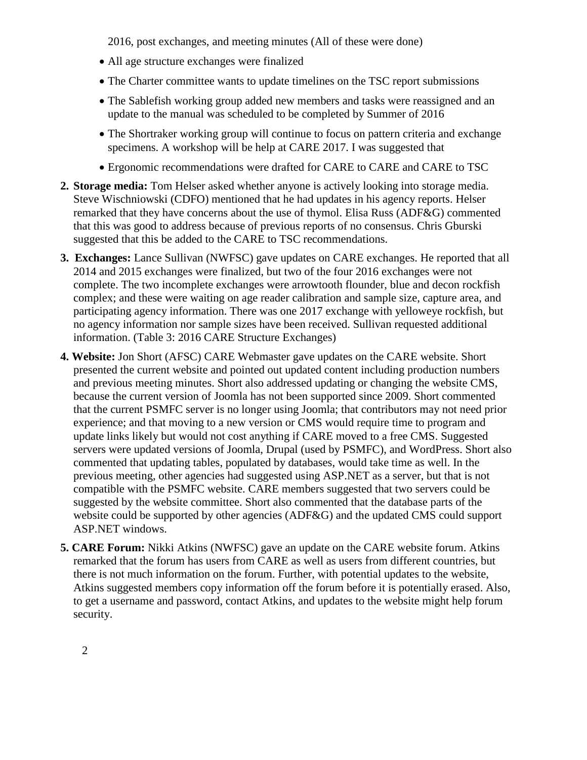2016, post exchanges, and meeting minutes (All of these were done)

- All age structure exchanges were finalized
- The Charter committee wants to update timelines on the TSC report submissions
- The Sablefish working group added new members and tasks were reassigned and an update to the manual was scheduled to be completed by Summer of 2016
- The Shortraker working group will continue to focus on pattern criteria and exchange specimens. A workshop will be help at CARE 2017. I was suggested that
- Ergonomic recommendations were drafted for CARE to CARE and CARE to TSC
- **2. Storage media:** Tom Helser asked whether anyone is actively looking into storage media. Steve Wischniowski (CDFO) mentioned that he had updates in his agency reports. Helser remarked that they have concerns about the use of thymol. Elisa Russ (ADF&G) commented that this was good to address because of previous reports of no consensus. Chris Gburski suggested that this be added to the CARE to TSC recommendations.
- **3. Exchanges:** Lance Sullivan (NWFSC) gave updates on CARE exchanges. He reported that all 2014 and 2015 exchanges were finalized, but two of the four 2016 exchanges were not complete. The two incomplete exchanges were arrowtooth flounder, blue and decon rockfish complex; and these were waiting on age reader calibration and sample size, capture area, and participating agency information. There was one 2017 exchange with yelloweye rockfish, but no agency information nor sample sizes have been received. Sullivan requested additional information. (Table 3: 2016 CARE Structure Exchanges)
- **4. Website:** Jon Short (AFSC) CARE Webmaster gave updates on the CARE website. Short presented the current website and pointed out updated content including production numbers and previous meeting minutes. Short also addressed updating or changing the website CMS, because the current version of Joomla has not been supported since 2009. Short commented that the current PSMFC server is no longer using Joomla; that contributors may not need prior experience; and that moving to a new version or CMS would require time to program and update links likely but would not cost anything if CARE moved to a free CMS. Suggested servers were updated versions of Joomla, Drupal (used by PSMFC), and WordPress. Short also commented that updating tables, populated by databases, would take time as well. In the previous meeting, other agencies had suggested using ASP.NET as a server, but that is not compatible with the PSMFC website. CARE members suggested that two servers could be suggested by the website committee. Short also commented that the database parts of the website could be supported by other agencies (ADF&G) and the updated CMS could support ASP.NET windows.
- **5. CARE Forum:** Nikki Atkins (NWFSC) gave an update on the CARE website forum. Atkins remarked that the forum has users from CARE as well as users from different countries, but there is not much information on the forum. Further, with potential updates to the website, Atkins suggested members copy information off the forum before it is potentially erased. Also, to get a username and password, contact Atkins, and updates to the website might help forum security.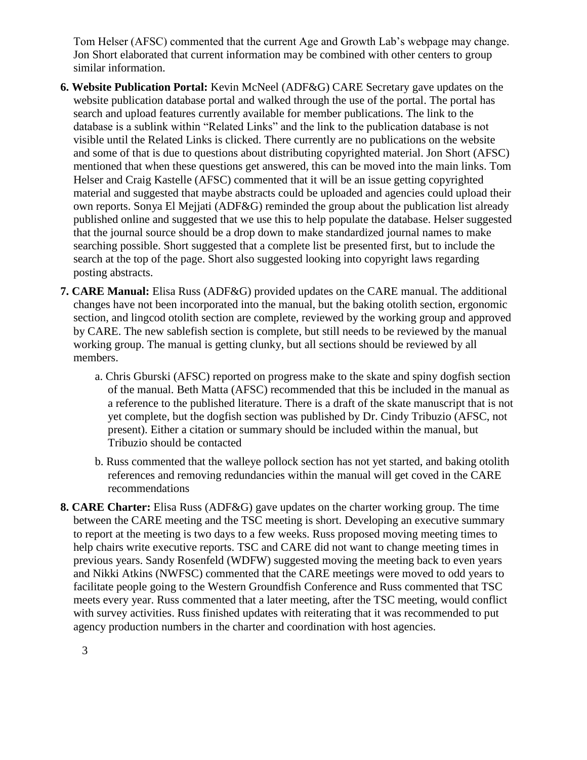Tom Helser (AFSC) commented that the current Age and Growth Lab's webpage may change. Jon Short elaborated that current information may be combined with other centers to group similar information.

- **6. Website Publication Portal:** Kevin McNeel (ADF&G) CARE Secretary gave updates on the website publication database portal and walked through the use of the portal. The portal has search and upload features currently available for member publications. The link to the database is a sublink within "Related Links" and the link to the publication database is not visible until the Related Links is clicked. There currently are no publications on the website and some of that is due to questions about distributing copyrighted material. Jon Short (AFSC) mentioned that when these questions get answered, this can be moved into the main links. Tom Helser and Craig Kastelle (AFSC) commented that it will be an issue getting copyrighted material and suggested that maybe abstracts could be uploaded and agencies could upload their own reports. Sonya El Mejjati (ADF&G) reminded the group about the publication list already published online and suggested that we use this to help populate the database. Helser suggested that the journal source should be a drop down to make standardized journal names to make searching possible. Short suggested that a complete list be presented first, but to include the search at the top of the page. Short also suggested looking into copyright laws regarding posting abstracts.
- **7. CARE Manual:** Elisa Russ (ADF&G) provided updates on the CARE manual. The additional changes have not been incorporated into the manual, but the baking otolith section, ergonomic section, and lingcod otolith section are complete, reviewed by the working group and approved by CARE. The new sablefish section is complete, but still needs to be reviewed by the manual working group. The manual is getting clunky, but all sections should be reviewed by all members.
	- a. Chris Gburski (AFSC) reported on progress make to the skate and spiny dogfish section of the manual. Beth Matta (AFSC) recommended that this be included in the manual as a reference to the published literature. There is a draft of the skate manuscript that is not yet complete, but the dogfish section was published by Dr. Cindy Tribuzio (AFSC, not present). Either a citation or summary should be included within the manual, but Tribuzio should be contacted
	- b. Russ commented that the walleye pollock section has not yet started, and baking otolith references and removing redundancies within the manual will get coved in the CARE recommendations
- **8. CARE Charter:** Elisa Russ (ADF&G) gave updates on the charter working group. The time between the CARE meeting and the TSC meeting is short. Developing an executive summary to report at the meeting is two days to a few weeks. Russ proposed moving meeting times to help chairs write executive reports. TSC and CARE did not want to change meeting times in previous years. Sandy Rosenfeld (WDFW) suggested moving the meeting back to even years and Nikki Atkins (NWFSC) commented that the CARE meetings were moved to odd years to facilitate people going to the Western Groundfish Conference and Russ commented that TSC meets every year. Russ commented that a later meeting, after the TSC meeting, would conflict with survey activities. Russ finished updates with reiterating that it was recommended to put agency production numbers in the charter and coordination with host agencies.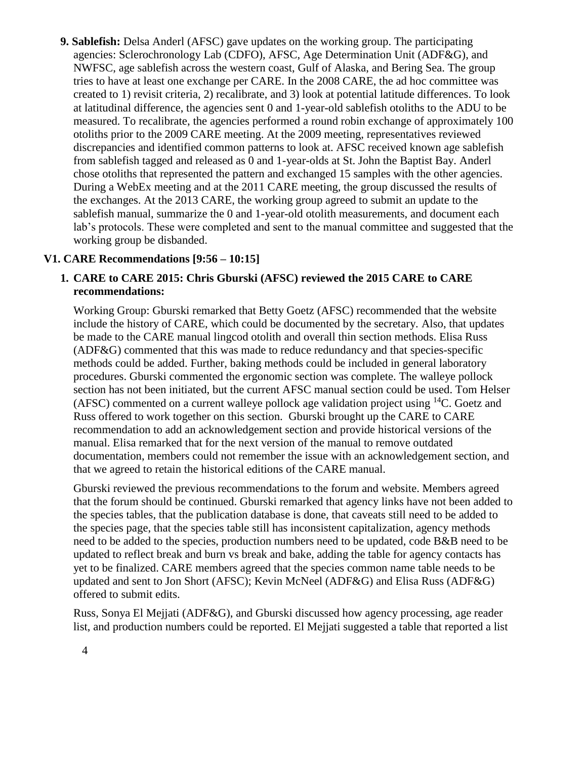**9. Sablefish:** Delsa Anderl (AFSC) gave updates on the working group. The participating agencies: Sclerochronology Lab (CDFO), AFSC, Age Determination Unit (ADF&G), and NWFSC, age sablefish across the western coast, Gulf of Alaska, and Bering Sea. The group tries to have at least one exchange per CARE. In the 2008 CARE, the ad hoc committee was created to 1) revisit criteria, 2) recalibrate, and 3) look at potential latitude differences. To look at latitudinal difference, the agencies sent 0 and 1-year-old sablefish otoliths to the ADU to be measured. To recalibrate, the agencies performed a round robin exchange of approximately 100 otoliths prior to the 2009 CARE meeting. At the 2009 meeting, representatives reviewed discrepancies and identified common patterns to look at. AFSC received known age sablefish from sablefish tagged and released as 0 and 1-year-olds at St. John the Baptist Bay. Anderl chose otoliths that represented the pattern and exchanged 15 samples with the other agencies. During a WebEx meeting and at the 2011 CARE meeting, the group discussed the results of the exchanges. At the 2013 CARE, the working group agreed to submit an update to the sablefish manual, summarize the 0 and 1-year-old otolith measurements, and document each lab's protocols. These were completed and sent to the manual committee and suggested that the working group be disbanded.

### **V1. CARE Recommendations [9:56 – 10:15]**

### **1. CARE to CARE 2015: Chris Gburski (AFSC) reviewed the 2015 CARE to CARE recommendations:**

Working Group: Gburski remarked that Betty Goetz (AFSC) recommended that the website include the history of CARE, which could be documented by the secretary. Also, that updates be made to the CARE manual lingcod otolith and overall thin section methods. Elisa Russ (ADF&G) commented that this was made to reduce redundancy and that species-specific methods could be added. Further, baking methods could be included in general laboratory procedures. Gburski commented the ergonomic section was complete. The walleye pollock section has not been initiated, but the current AFSC manual section could be used. Tom Helser (AFSC) commented on a current walleye pollock age validation project using  $^{14}C$ . Goetz and Russ offered to work together on this section. Gburski brought up the CARE to CARE recommendation to add an acknowledgement section and provide historical versions of the manual. Elisa remarked that for the next version of the manual to remove outdated documentation, members could not remember the issue with an acknowledgement section, and that we agreed to retain the historical editions of the CARE manual.

Gburski reviewed the previous recommendations to the forum and website. Members agreed that the forum should be continued. Gburski remarked that agency links have not been added to the species tables, that the publication database is done, that caveats still need to be added to the species page, that the species table still has inconsistent capitalization, agency methods need to be added to the species, production numbers need to be updated, code B&B need to be updated to reflect break and burn vs break and bake, adding the table for agency contacts has yet to be finalized. CARE members agreed that the species common name table needs to be updated and sent to Jon Short (AFSC); Kevin McNeel (ADF&G) and Elisa Russ (ADF&G) offered to submit edits.

Russ, Sonya El Mejjati (ADF&G), and Gburski discussed how agency processing, age reader list, and production numbers could be reported. El Mejjati suggested a table that reported a list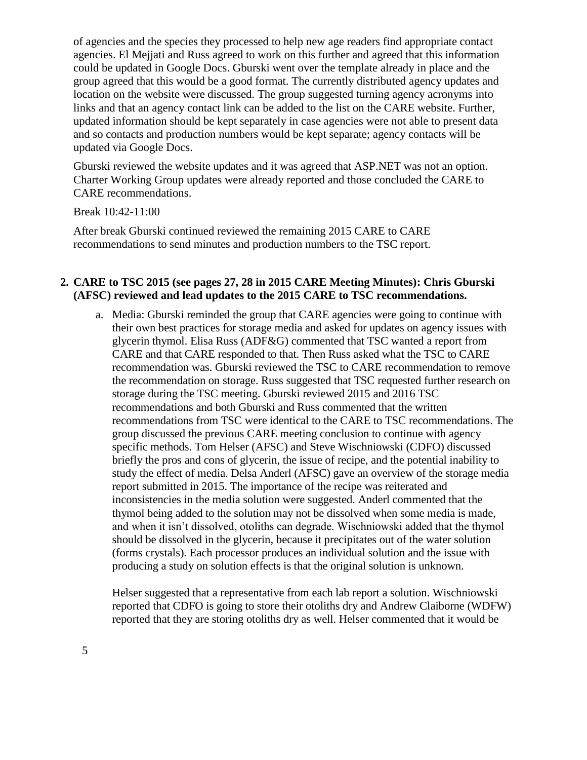of agencies and the species they processed to help new age readers find appropriate contact agencies. El Mejjati and Russ agreed to work on this further and agreed that this information could be updated in Google Docs. Gburski went over the template already in place and the group agreed that this would be a good format. The currently distributed agency updates and location on the website were discussed. The group suggested turning agency acronyms into links and that an agency contact link can be added to the list on the CARE website. Further, updated information should be kept separately in case agencies were not able to present data and so contacts and production numbers would be kept separate; agency contacts will be updated via Google Docs.

Gburski reviewed the website updates and it was agreed that ASP.NET was not an option. Charter Working Group updates were already reported and those concluded the CARE to CARE recommendations.

Break 10:42-11:00

After break Gburski continued reviewed the remaining 2015 CARE to CARE recommendations to send minutes and production numbers to the TSC report.

### **2. CARE to TSC 2015 (see pages 27, 28 in 2015 CARE Meeting Minutes): Chris Gburski (AFSC) reviewed and lead updates to the 2015 CARE to TSC recommendations.**

a. Media: Gburski reminded the group that CARE agencies were going to continue with their own best practices for storage media and asked for updates on agency issues with glycerin thymol. Elisa Russ (ADF&G) commented that TSC wanted a report from CARE and that CARE responded to that. Then Russ asked what the TSC to CARE recommendation was. Gburski reviewed the TSC to CARE recommendation to remove the recommendation on storage. Russ suggested that TSC requested further research on storage during the TSC meeting. Gburski reviewed 2015 and 2016 TSC recommendations and both Gburski and Russ commented that the written recommendations from TSC were identical to the CARE to TSC recommendations. The group discussed the previous CARE meeting conclusion to continue with agency specific methods. Tom Helser (AFSC) and Steve Wischniowski (CDFO) discussed briefly the pros and cons of glycerin, the issue of recipe, and the potential inability to study the effect of media. Delsa Anderl (AFSC) gave an overview of the storage media report submitted in 2015. The importance of the recipe was reiterated and inconsistencies in the media solution were suggested. Anderl commented that the thymol being added to the solution may not be dissolved when some media is made, and when it isn't dissolved, otoliths can degrade. Wischniowski added that the thymol should be dissolved in the glycerin, because it precipitates out of the water solution (forms crystals). Each processor produces an individual solution and the issue with producing a study on solution effects is that the original solution is unknown.

Helser suggested that a representative from each lab report a solution. Wischniowski reported that CDFO is going to store their otoliths dry and Andrew Claiborne (WDFW) reported that they are storing otoliths dry as well. Helser commented that it would be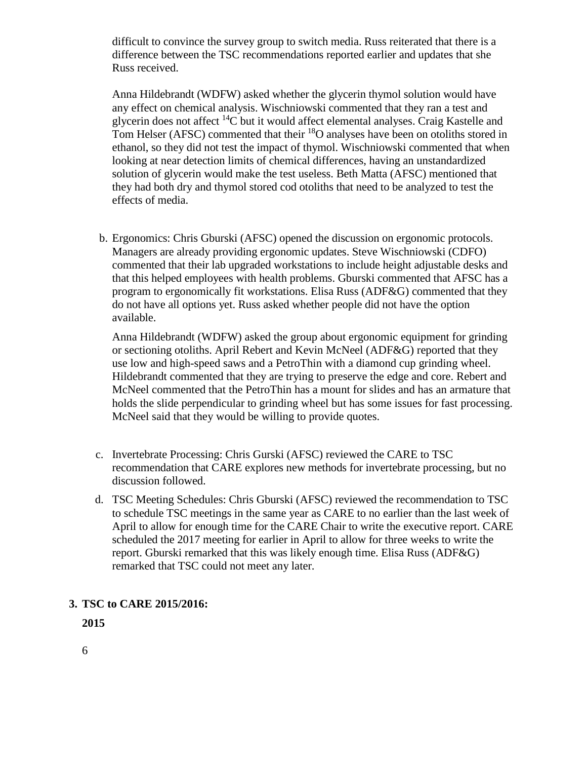difficult to convince the survey group to switch media. Russ reiterated that there is a difference between the TSC recommendations reported earlier and updates that she Russ received.

Anna Hildebrandt (WDFW) asked whether the glycerin thymol solution would have any effect on chemical analysis. Wischniowski commented that they ran a test and glycerin does not affect <sup>14</sup>C but it would affect elemental analyses. Craig Kastelle and Tom Helser (AFSC) commented that their <sup>18</sup>O analyses have been on otoliths stored in ethanol, so they did not test the impact of thymol. Wischniowski commented that when looking at near detection limits of chemical differences, having an unstandardized solution of glycerin would make the test useless. Beth Matta (AFSC) mentioned that they had both dry and thymol stored cod otoliths that need to be analyzed to test the effects of media.

b. Ergonomics: Chris Gburski (AFSC) opened the discussion on ergonomic protocols. Managers are already providing ergonomic updates. Steve Wischniowski (CDFO) commented that their lab upgraded workstations to include height adjustable desks and that this helped employees with health problems. Gburski commented that AFSC has a program to ergonomically fit workstations. Elisa Russ (ADF&G) commented that they do not have all options yet. Russ asked whether people did not have the option available.

Anna Hildebrandt (WDFW) asked the group about ergonomic equipment for grinding or sectioning otoliths. April Rebert and Kevin McNeel (ADF&G) reported that they use low and high-speed saws and a PetroThin with a diamond cup grinding wheel. Hildebrandt commented that they are trying to preserve the edge and core. Rebert and McNeel commented that the PetroThin has a mount for slides and has an armature that holds the slide perpendicular to grinding wheel but has some issues for fast processing. McNeel said that they would be willing to provide quotes.

- c. Invertebrate Processing: Chris Gurski (AFSC) reviewed the CARE to TSC recommendation that CARE explores new methods for invertebrate processing, but no discussion followed.
- d. TSC Meeting Schedules: Chris Gburski (AFSC) reviewed the recommendation to TSC to schedule TSC meetings in the same year as CARE to no earlier than the last week of April to allow for enough time for the CARE Chair to write the executive report. CARE scheduled the 2017 meeting for earlier in April to allow for three weeks to write the report. Gburski remarked that this was likely enough time. Elisa Russ (ADF&G) remarked that TSC could not meet any later.

## **3. TSC to CARE 2015/2016:**

**2015**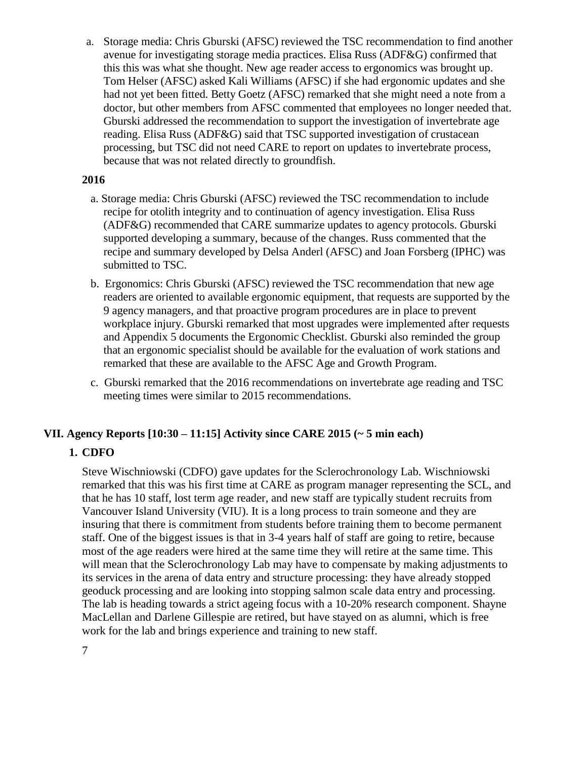a. Storage media: Chris Gburski (AFSC) reviewed the TSC recommendation to find another avenue for investigating storage media practices. Elisa Russ (ADF&G) confirmed that this this was what she thought. New age reader access to ergonomics was brought up. Tom Helser (AFSC) asked Kali Williams (AFSC) if she had ergonomic updates and she had not yet been fitted. Betty Goetz (AFSC) remarked that she might need a note from a doctor, but other members from AFSC commented that employees no longer needed that. Gburski addressed the recommendation to support the investigation of invertebrate age reading. Elisa Russ (ADF&G) said that TSC supported investigation of crustacean processing, but TSC did not need CARE to report on updates to invertebrate process, because that was not related directly to groundfish.

### **2016**

- a. Storage media: Chris Gburski (AFSC) reviewed the TSC recommendation to include recipe for otolith integrity and to continuation of agency investigation. Elisa Russ (ADF&G) recommended that CARE summarize updates to agency protocols. Gburski supported developing a summary, because of the changes. Russ commented that the recipe and summary developed by Delsa Anderl (AFSC) and Joan Forsberg (IPHC) was submitted to TSC.
- b. Ergonomics: Chris Gburski (AFSC) reviewed the TSC recommendation that new age readers are oriented to available ergonomic equipment, that requests are supported by the 9 agency managers, and that proactive program procedures are in place to prevent workplace injury. Gburski remarked that most upgrades were implemented after requests and Appendix 5 documents the Ergonomic Checklist. Gburski also reminded the group that an ergonomic specialist should be available for the evaluation of work stations and remarked that these are available to the AFSC Age and Growth Program.
- c. Gburski remarked that the 2016 recommendations on invertebrate age reading and TSC meeting times were similar to 2015 recommendations.

## **VII. Agency Reports [10:30 – 11:15] Activity since CARE 2015 (~ 5 min each)**

## **1. CDFO**

Steve Wischniowski (CDFO) gave updates for the Sclerochronology Lab. Wischniowski remarked that this was his first time at CARE as program manager representing the SCL, and that he has 10 staff, lost term age reader, and new staff are typically student recruits from Vancouver Island University (VIU). It is a long process to train someone and they are insuring that there is commitment from students before training them to become permanent staff. One of the biggest issues is that in 3-4 years half of staff are going to retire, because most of the age readers were hired at the same time they will retire at the same time. This will mean that the Sclerochronology Lab may have to compensate by making adjustments to its services in the arena of data entry and structure processing: they have already stopped geoduck processing and are looking into stopping salmon scale data entry and processing. The lab is heading towards a strict ageing focus with a 10-20% research component. Shayne MacLellan and Darlene Gillespie are retired, but have stayed on as alumni, which is free work for the lab and brings experience and training to new staff.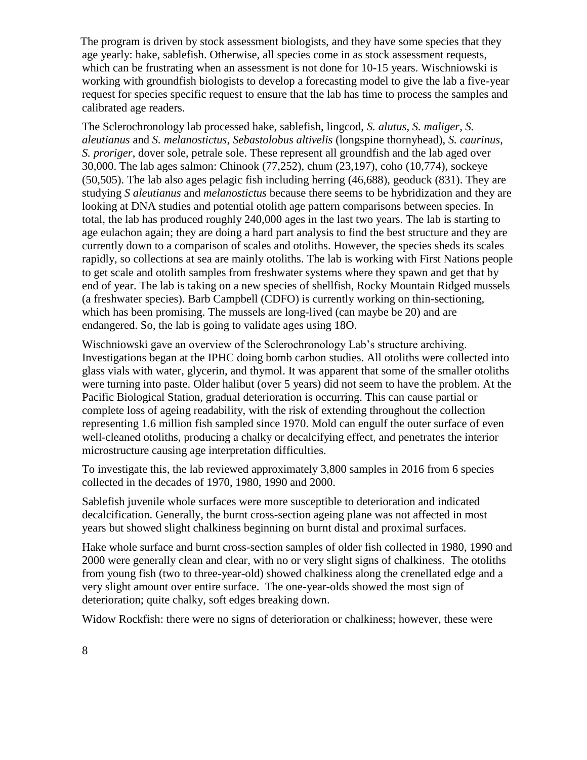The program is driven by stock assessment biologists, and they have some species that they age yearly: hake, sablefish. Otherwise, all species come in as stock assessment requests, which can be frustrating when an assessment is not done for 10-15 years. Wischniowski is working with groundfish biologists to develop a forecasting model to give the lab a five-year request for species specific request to ensure that the lab has time to process the samples and calibrated age readers.

The Sclerochronology lab processed hake, sablefish, lingcod, *S. alutus*, *S. maliger*, *S. aleutianus* and *S. melanostictus*, *Sebastolobus altivelis* (longspine thornyhead), *S. caurinus*, *S. proriger*, dover sole, petrale sole. These represent all groundfish and the lab aged over 30,000. The lab ages salmon: Chinook (77,252), chum (23,197), coho (10,774), sockeye (50,505). The lab also ages pelagic fish including herring (46,688), geoduck (831). They are studying *S aleutianus* and *melanostictus* because there seems to be hybridization and they are looking at DNA studies and potential otolith age pattern comparisons between species. In total, the lab has produced roughly 240,000 ages in the last two years. The lab is starting to age eulachon again; they are doing a hard part analysis to find the best structure and they are currently down to a comparison of scales and otoliths. However, the species sheds its scales rapidly, so collections at sea are mainly otoliths. The lab is working with First Nations people to get scale and otolith samples from freshwater systems where they spawn and get that by end of year. The lab is taking on a new species of shellfish, Rocky Mountain Ridged mussels (a freshwater species). Barb Campbell (CDFO) is currently working on thin-sectioning, which has been promising. The mussels are long-lived (can maybe be 20) and are endangered. So, the lab is going to validate ages using 18O.

Wischniowski gave an overview of the Sclerochronology Lab's structure archiving. Investigations began at the IPHC doing bomb carbon studies. All otoliths were collected into glass vials with water, glycerin, and thymol. It was apparent that some of the smaller otoliths were turning into paste. Older halibut (over 5 years) did not seem to have the problem. At the Pacific Biological Station, gradual deterioration is occurring. This can cause partial or complete loss of ageing readability, with the risk of extending throughout the collection representing 1.6 million fish sampled since 1970. Mold can engulf the outer surface of even well-cleaned otoliths, producing a chalky or decalcifying effect, and penetrates the interior microstructure causing age interpretation difficulties.

To investigate this, the lab reviewed approximately 3,800 samples in 2016 from 6 species collected in the decades of 1970, 1980, 1990 and 2000.

Sablefish juvenile whole surfaces were more susceptible to deterioration and indicated decalcification. Generally, the burnt cross-section ageing plane was not affected in most years but showed slight chalkiness beginning on burnt distal and proximal surfaces.

Hake whole surface and burnt cross-section samples of older fish collected in 1980, 1990 and 2000 were generally clean and clear, with no or very slight signs of chalkiness. The otoliths from young fish (two to three-year-old) showed chalkiness along the crenellated edge and a very slight amount over entire surface. The one-year-olds showed the most sign of deterioration; quite chalky, soft edges breaking down.

Widow Rockfish: there were no signs of deterioration or chalkiness; however, these were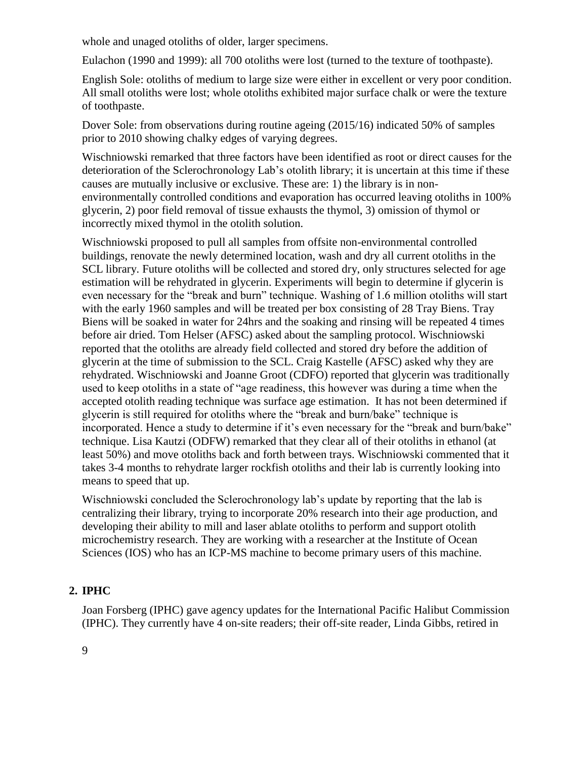whole and unaged otoliths of older, larger specimens.

Eulachon (1990 and 1999): all 700 otoliths were lost (turned to the texture of toothpaste).

English Sole: otoliths of medium to large size were either in excellent or very poor condition. All small otoliths were lost; whole otoliths exhibited major surface chalk or were the texture of toothpaste.

Dover Sole: from observations during routine ageing (2015/16) indicated 50% of samples prior to 2010 showing chalky edges of varying degrees.

Wischniowski remarked that three factors have been identified as root or direct causes for the deterioration of the Sclerochronology Lab's otolith library; it is uncertain at this time if these causes are mutually inclusive or exclusive. These are: 1) the library is in nonenvironmentally controlled conditions and evaporation has occurred leaving otoliths in 100% glycerin, 2) poor field removal of tissue exhausts the thymol, 3) omission of thymol or incorrectly mixed thymol in the otolith solution.

Wischniowski proposed to pull all samples from offsite non-environmental controlled buildings, renovate the newly determined location, wash and dry all current otoliths in the SCL library. Future otoliths will be collected and stored dry, only structures selected for age estimation will be rehydrated in glycerin. Experiments will begin to determine if glycerin is even necessary for the "break and burn" technique. Washing of 1.6 million otoliths will start with the early 1960 samples and will be treated per box consisting of 28 Tray Biens. Tray Biens will be soaked in water for 24hrs and the soaking and rinsing will be repeated 4 times before air dried. Tom Helser (AFSC) asked about the sampling protocol. Wischniowski reported that the otoliths are already field collected and stored dry before the addition of glycerin at the time of submission to the SCL. Craig Kastelle (AFSC) asked why they are rehydrated. Wischniowski and Joanne Groot (CDFO) reported that glycerin was traditionally used to keep otoliths in a state of "age readiness, this however was during a time when the accepted otolith reading technique was surface age estimation. It has not been determined if glycerin is still required for otoliths where the "break and burn/bake" technique is incorporated. Hence a study to determine if it's even necessary for the "break and burn/bake" technique. Lisa Kautzi (ODFW) remarked that they clear all of their otoliths in ethanol (at least 50%) and move otoliths back and forth between trays. Wischniowski commented that it takes 3-4 months to rehydrate larger rockfish otoliths and their lab is currently looking into means to speed that up.

Wischniowski concluded the Sclerochronology lab's update by reporting that the lab is centralizing their library, trying to incorporate 20% research into their age production, and developing their ability to mill and laser ablate otoliths to perform and support otolith microchemistry research. They are working with a researcher at the Institute of Ocean Sciences (IOS) who has an ICP-MS machine to become primary users of this machine.

## **2. IPHC**

Joan Forsberg (IPHC) gave agency updates for the International Pacific Halibut Commission (IPHC). They currently have 4 on-site readers; their off-site reader, Linda Gibbs, retired in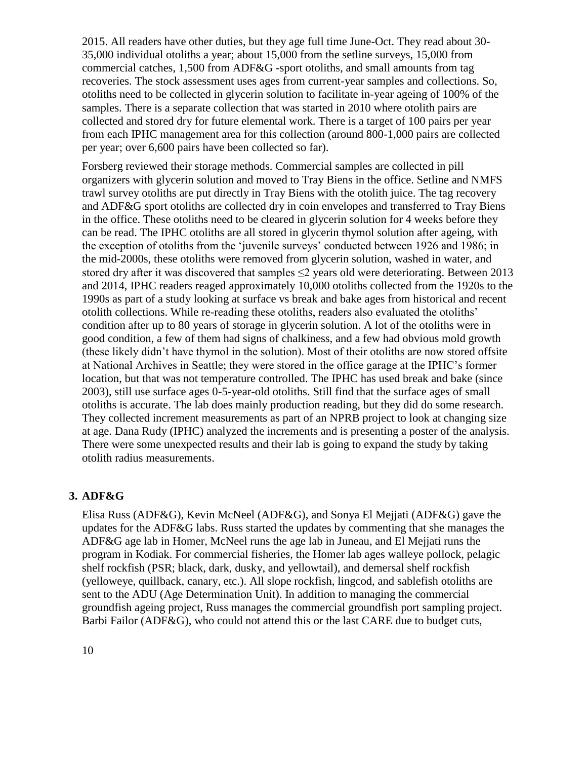2015. All readers have other duties, but they age full time June-Oct. They read about 30- 35,000 individual otoliths a year; about 15,000 from the setline surveys, 15,000 from commercial catches, 1,500 from ADF&G -sport otoliths, and small amounts from tag recoveries. The stock assessment uses ages from current-year samples and collections. So, otoliths need to be collected in glycerin solution to facilitate in-year ageing of 100% of the samples. There is a separate collection that was started in 2010 where otolith pairs are collected and stored dry for future elemental work. There is a target of 100 pairs per year from each IPHC management area for this collection (around 800-1,000 pairs are collected per year; over 6,600 pairs have been collected so far).

Forsberg reviewed their storage methods. Commercial samples are collected in pill organizers with glycerin solution and moved to Tray Biens in the office. Setline and NMFS trawl survey otoliths are put directly in Tray Biens with the otolith juice. The tag recovery and ADF&G sport otoliths are collected dry in coin envelopes and transferred to Tray Biens in the office. These otoliths need to be cleared in glycerin solution for 4 weeks before they can be read. The IPHC otoliths are all stored in glycerin thymol solution after ageing, with the exception of otoliths from the 'juvenile surveys' conducted between 1926 and 1986; in the mid-2000s, these otoliths were removed from glycerin solution, washed in water, and stored dry after it was discovered that samples  $\leq$  years old were deteriorating. Between 2013 and 2014, IPHC readers reaged approximately 10,000 otoliths collected from the 1920s to the 1990s as part of a study looking at surface vs break and bake ages from historical and recent otolith collections. While re-reading these otoliths, readers also evaluated the otoliths' condition after up to 80 years of storage in glycerin solution. A lot of the otoliths were in good condition, a few of them had signs of chalkiness, and a few had obvious mold growth (these likely didn't have thymol in the solution). Most of their otoliths are now stored offsite at National Archives in Seattle; they were stored in the office garage at the IPHC's former location, but that was not temperature controlled. The IPHC has used break and bake (since 2003), still use surface ages 0-5-year-old otoliths. Still find that the surface ages of small otoliths is accurate. The lab does mainly production reading, but they did do some research. They collected increment measurements as part of an NPRB project to look at changing size at age. Dana Rudy (IPHC) analyzed the increments and is presenting a poster of the analysis. There were some unexpected results and their lab is going to expand the study by taking otolith radius measurements.

#### **3. ADF&G**

Elisa Russ (ADF&G), Kevin McNeel (ADF&G), and Sonya El Mejjati (ADF&G) gave the updates for the ADF&G labs. Russ started the updates by commenting that she manages the ADF&G age lab in Homer, McNeel runs the age lab in Juneau, and El Mejjati runs the program in Kodiak. For commercial fisheries, the Homer lab ages walleye pollock, pelagic shelf rockfish (PSR; black, dark, dusky, and yellowtail), and demersal shelf rockfish (yelloweye, quillback, canary, etc.). All slope rockfish, lingcod, and sablefish otoliths are sent to the ADU (Age Determination Unit). In addition to managing the commercial groundfish ageing project, Russ manages the commercial groundfish port sampling project. Barbi Failor (ADF&G), who could not attend this or the last CARE due to budget cuts,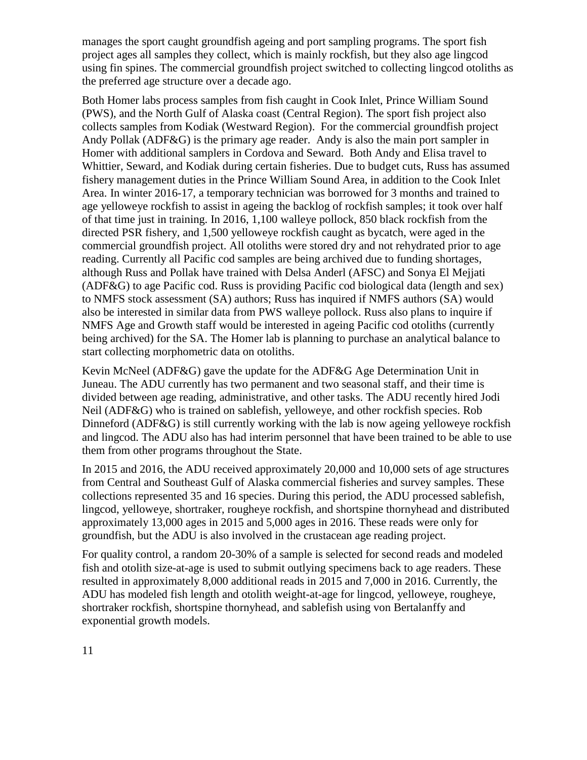manages the sport caught groundfish ageing and port sampling programs. The sport fish project ages all samples they collect, which is mainly rockfish, but they also age lingcod using fin spines. The commercial groundfish project switched to collecting lingcod otoliths as the preferred age structure over a decade ago.

Both Homer labs process samples from fish caught in Cook Inlet, Prince William Sound (PWS), and the North Gulf of Alaska coast (Central Region). The sport fish project also collects samples from Kodiak (Westward Region). For the commercial groundfish project Andy Pollak (ADF&G) is the primary age reader. Andy is also the main port sampler in Homer with additional samplers in Cordova and Seward. Both Andy and Elisa travel to Whittier, Seward, and Kodiak during certain fisheries. Due to budget cuts, Russ has assumed fishery management duties in the Prince William Sound Area, in addition to the Cook Inlet Area. In winter 2016-17, a temporary technician was borrowed for 3 months and trained to age yelloweye rockfish to assist in ageing the backlog of rockfish samples; it took over half of that time just in training. In 2016, 1,100 walleye pollock, 850 black rockfish from the directed PSR fishery, and 1,500 yelloweye rockfish caught as bycatch, were aged in the commercial groundfish project. All otoliths were stored dry and not rehydrated prior to age reading. Currently all Pacific cod samples are being archived due to funding shortages, although Russ and Pollak have trained with Delsa Anderl (AFSC) and Sonya El Mejjati (ADF&G) to age Pacific cod. Russ is providing Pacific cod biological data (length and sex) to NMFS stock assessment (SA) authors; Russ has inquired if NMFS authors (SA) would also be interested in similar data from PWS walleye pollock. Russ also plans to inquire if NMFS Age and Growth staff would be interested in ageing Pacific cod otoliths (currently being archived) for the SA. The Homer lab is planning to purchase an analytical balance to start collecting morphometric data on otoliths.

Kevin McNeel (ADF&G) gave the update for the ADF&G Age Determination Unit in Juneau. The ADU currently has two permanent and two seasonal staff, and their time is divided between age reading, administrative, and other tasks. The ADU recently hired Jodi Neil (ADF&G) who is trained on sablefish, yelloweye, and other rockfish species. Rob Dinneford (ADF&G) is still currently working with the lab is now ageing yelloweye rockfish and lingcod. The ADU also has had interim personnel that have been trained to be able to use them from other programs throughout the State.

In 2015 and 2016, the ADU received approximately 20,000 and 10,000 sets of age structures from Central and Southeast Gulf of Alaska commercial fisheries and survey samples. These collections represented 35 and 16 species. During this period, the ADU processed sablefish, lingcod, yelloweye, shortraker, rougheye rockfish, and shortspine thornyhead and distributed approximately 13,000 ages in 2015 and 5,000 ages in 2016. These reads were only for groundfish, but the ADU is also involved in the crustacean age reading project.

For quality control, a random 20-30% of a sample is selected for second reads and modeled fish and otolith size-at-age is used to submit outlying specimens back to age readers. These resulted in approximately 8,000 additional reads in 2015 and 7,000 in 2016. Currently, the ADU has modeled fish length and otolith weight-at-age for lingcod, yelloweye, rougheye, shortraker rockfish, shortspine thornyhead, and sablefish using von Bertalanffy and exponential growth models.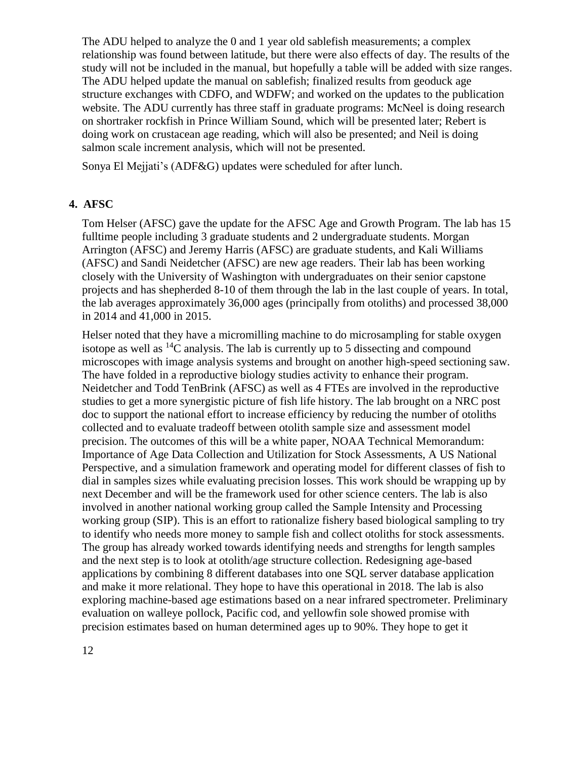The ADU helped to analyze the 0 and 1 year old sablefish measurements; a complex relationship was found between latitude, but there were also effects of day. The results of the study will not be included in the manual, but hopefully a table will be added with size ranges. The ADU helped update the manual on sablefish; finalized results from geoduck age structure exchanges with CDFO, and WDFW; and worked on the updates to the publication website. The ADU currently has three staff in graduate programs: McNeel is doing research on shortraker rockfish in Prince William Sound, which will be presented later; Rebert is doing work on crustacean age reading, which will also be presented; and Neil is doing salmon scale increment analysis, which will not be presented.

Sonya El Mejjati's (ADF&G) updates were scheduled for after lunch.

#### **4. AFSC**

Tom Helser (AFSC) gave the update for the AFSC Age and Growth Program. The lab has 15 fulltime people including 3 graduate students and 2 undergraduate students. Morgan Arrington (AFSC) and Jeremy Harris (AFSC) are graduate students, and Kali Williams (AFSC) and Sandi Neidetcher (AFSC) are new age readers. Their lab has been working closely with the University of Washington with undergraduates on their senior capstone projects and has shepherded 8-10 of them through the lab in the last couple of years. In total, the lab averages approximately 36,000 ages (principally from otoliths) and processed 38,000 in 2014 and 41,000 in 2015.

Helser noted that they have a micromilling machine to do microsampling for stable oxygen isotope as well as  ${}^{14}C$  analysis. The lab is currently up to 5 dissecting and compound microscopes with image analysis systems and brought on another high-speed sectioning saw. The have folded in a reproductive biology studies activity to enhance their program. Neidetcher and Todd TenBrink (AFSC) as well as 4 FTEs are involved in the reproductive studies to get a more synergistic picture of fish life history. The lab brought on a NRC post doc to support the national effort to increase efficiency by reducing the number of otoliths collected and to evaluate tradeoff between otolith sample size and assessment model precision. The outcomes of this will be a white paper, NOAA Technical Memorandum: Importance of Age Data Collection and Utilization for Stock Assessments, A US National Perspective, and a simulation framework and operating model for different classes of fish to dial in samples sizes while evaluating precision losses. This work should be wrapping up by next December and will be the framework used for other science centers. The lab is also involved in another national working group called the Sample Intensity and Processing working group (SIP). This is an effort to rationalize fishery based biological sampling to try to identify who needs more money to sample fish and collect otoliths for stock assessments. The group has already worked towards identifying needs and strengths for length samples and the next step is to look at otolith/age structure collection. Redesigning age-based applications by combining 8 different databases into one SQL server database application and make it more relational. They hope to have this operational in 2018. The lab is also exploring machine-based age estimations based on a near infrared spectrometer. Preliminary evaluation on walleye pollock, Pacific cod, and yellowfin sole showed promise with precision estimates based on human determined ages up to 90%. They hope to get it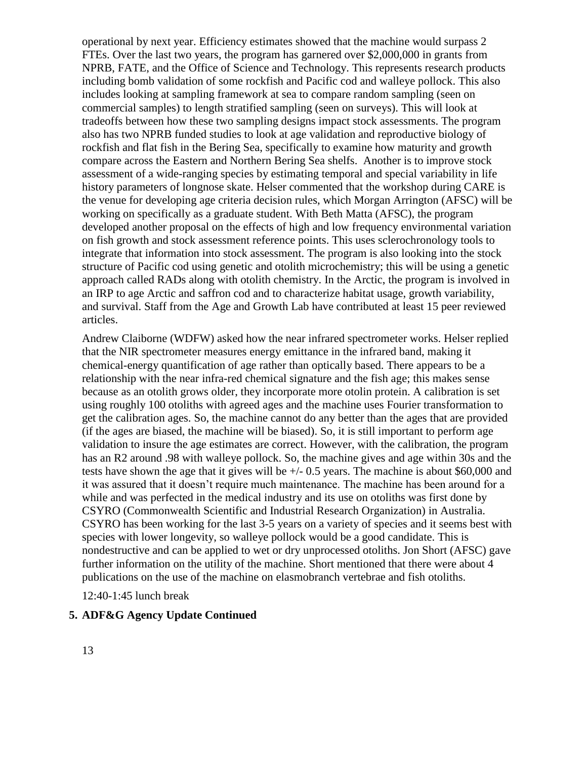operational by next year. Efficiency estimates showed that the machine would surpass 2 FTEs. Over the last two years, the program has garnered over \$2,000,000 in grants from NPRB, FATE, and the Office of Science and Technology. This represents research products including bomb validation of some rockfish and Pacific cod and walleye pollock. This also includes looking at sampling framework at sea to compare random sampling (seen on commercial samples) to length stratified sampling (seen on surveys). This will look at tradeoffs between how these two sampling designs impact stock assessments. The program also has two NPRB funded studies to look at age validation and reproductive biology of rockfish and flat fish in the Bering Sea, specifically to examine how maturity and growth compare across the Eastern and Northern Bering Sea shelfs. Another is to improve stock assessment of a wide-ranging species by estimating temporal and special variability in life history parameters of longnose skate. Helser commented that the workshop during CARE is the venue for developing age criteria decision rules, which Morgan Arrington (AFSC) will be working on specifically as a graduate student. With Beth Matta (AFSC), the program developed another proposal on the effects of high and low frequency environmental variation on fish growth and stock assessment reference points. This uses sclerochronology tools to integrate that information into stock assessment. The program is also looking into the stock structure of Pacific cod using genetic and otolith microchemistry; this will be using a genetic approach called RADs along with otolith chemistry. In the Arctic, the program is involved in an IRP to age Arctic and saffron cod and to characterize habitat usage, growth variability, and survival. Staff from the Age and Growth Lab have contributed at least 15 peer reviewed articles.

Andrew Claiborne (WDFW) asked how the near infrared spectrometer works. Helser replied that the NIR spectrometer measures energy emittance in the infrared band, making it chemical-energy quantification of age rather than optically based. There appears to be a relationship with the near infra-red chemical signature and the fish age; this makes sense because as an otolith grows older, they incorporate more otolin protein. A calibration is set using roughly 100 otoliths with agreed ages and the machine uses Fourier transformation to get the calibration ages. So, the machine cannot do any better than the ages that are provided (if the ages are biased, the machine will be biased). So, it is still important to perform age validation to insure the age estimates are correct. However, with the calibration, the program has an R2 around .98 with walleye pollock. So, the machine gives and age within 30s and the tests have shown the age that it gives will be +/- 0.5 years. The machine is about \$60,000 and it was assured that it doesn't require much maintenance. The machine has been around for a while and was perfected in the medical industry and its use on otoliths was first done by CSYRO (Commonwealth Scientific and Industrial Research Organization) in Australia. CSYRO has been working for the last 3-5 years on a variety of species and it seems best with species with lower longevity, so walleye pollock would be a good candidate. This is nondestructive and can be applied to wet or dry unprocessed otoliths. Jon Short (AFSC) gave further information on the utility of the machine. Short mentioned that there were about 4 publications on the use of the machine on elasmobranch vertebrae and fish otoliths.

12:40-1:45 lunch break

### **5. ADF&G Agency Update Continued**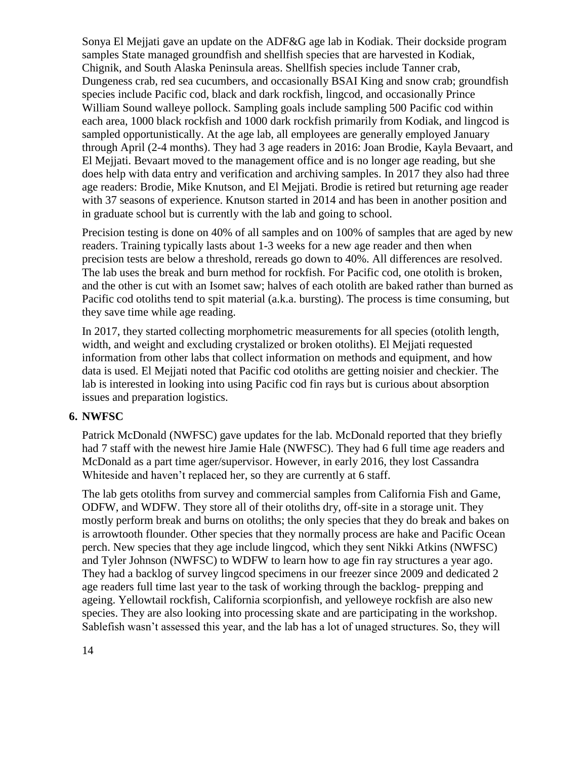Sonya El Mejjati gave an update on the ADF&G age lab in Kodiak. Their dockside program samples State managed groundfish and shellfish species that are harvested in Kodiak, Chignik, and South Alaska Peninsula areas. Shellfish species include Tanner crab, Dungeness crab, red sea cucumbers, and occasionally BSAI King and snow crab; groundfish species include Pacific cod, black and dark rockfish, lingcod, and occasionally Prince William Sound walleye pollock. Sampling goals include sampling 500 Pacific cod within each area, 1000 black rockfish and 1000 dark rockfish primarily from Kodiak, and lingcod is sampled opportunistically. At the age lab, all employees are generally employed January through April (2-4 months). They had 3 age readers in 2016: Joan Brodie, Kayla Bevaart, and El Mejjati. Bevaart moved to the management office and is no longer age reading, but she does help with data entry and verification and archiving samples. In 2017 they also had three age readers: Brodie, Mike Knutson, and El Mejjati. Brodie is retired but returning age reader with 37 seasons of experience. Knutson started in 2014 and has been in another position and in graduate school but is currently with the lab and going to school.

Precision testing is done on 40% of all samples and on 100% of samples that are aged by new readers. Training typically lasts about 1-3 weeks for a new age reader and then when precision tests are below a threshold, rereads go down to 40%. All differences are resolved. The lab uses the break and burn method for rockfish. For Pacific cod, one otolith is broken, and the other is cut with an Isomet saw; halves of each otolith are baked rather than burned as Pacific cod otoliths tend to spit material (a.k.a. bursting). The process is time consuming, but they save time while age reading.

In 2017, they started collecting morphometric measurements for all species (otolith length, width, and weight and excluding crystalized or broken otoliths). El Mejjati requested information from other labs that collect information on methods and equipment, and how data is used. El Mejjati noted that Pacific cod otoliths are getting noisier and checkier. The lab is interested in looking into using Pacific cod fin rays but is curious about absorption issues and preparation logistics.

#### **6. NWFSC**

Patrick McDonald (NWFSC) gave updates for the lab. McDonald reported that they briefly had 7 staff with the newest hire Jamie Hale (NWFSC). They had 6 full time age readers and McDonald as a part time ager/supervisor. However, in early 2016, they lost Cassandra Whiteside and haven't replaced her, so they are currently at 6 staff.

The lab gets otoliths from survey and commercial samples from California Fish and Game, ODFW, and WDFW. They store all of their otoliths dry, off-site in a storage unit. They mostly perform break and burns on otoliths; the only species that they do break and bakes on is arrowtooth flounder. Other species that they normally process are hake and Pacific Ocean perch. New species that they age include lingcod, which they sent Nikki Atkins (NWFSC) and Tyler Johnson (NWFSC) to WDFW to learn how to age fin ray structures a year ago. They had a backlog of survey lingcod specimens in our freezer since 2009 and dedicated 2 age readers full time last year to the task of working through the backlog- prepping and ageing. Yellowtail rockfish, California scorpionfish, and yelloweye rockfish are also new species. They are also looking into processing skate and are participating in the workshop. Sablefish wasn't assessed this year, and the lab has a lot of unaged structures. So, they will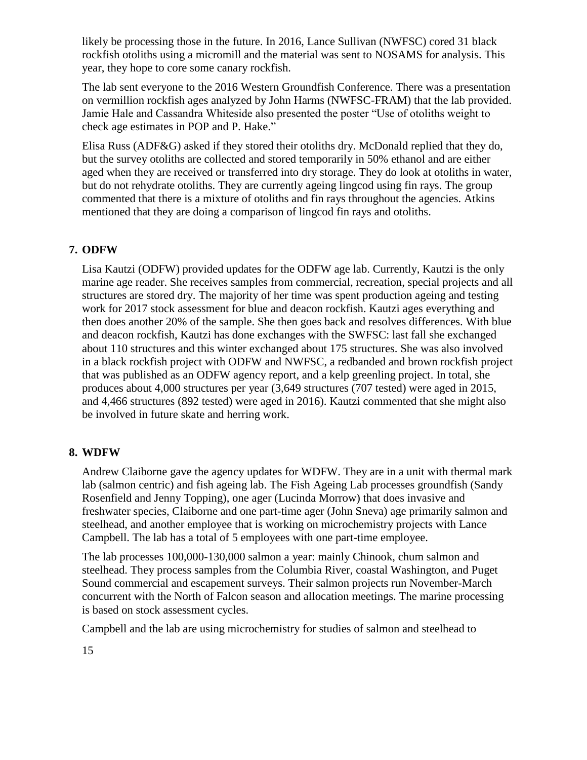likely be processing those in the future. In 2016, Lance Sullivan (NWFSC) cored 31 black rockfish otoliths using a micromill and the material was sent to NOSAMS for analysis. This year, they hope to core some canary rockfish.

The lab sent everyone to the 2016 Western Groundfish Conference. There was a presentation on vermillion rockfish ages analyzed by John Harms (NWFSC-FRAM) that the lab provided. Jamie Hale and Cassandra Whiteside also presented the poster "Use of otoliths weight to check age estimates in POP and P. Hake."

Elisa Russ (ADF&G) asked if they stored their otoliths dry. McDonald replied that they do, but the survey otoliths are collected and stored temporarily in 50% ethanol and are either aged when they are received or transferred into dry storage. They do look at otoliths in water, but do not rehydrate otoliths. They are currently ageing lingcod using fin rays. The group commented that there is a mixture of otoliths and fin rays throughout the agencies. Atkins mentioned that they are doing a comparison of lingcod fin rays and otoliths.

## **7. ODFW**

Lisa Kautzi (ODFW) provided updates for the ODFW age lab. Currently, Kautzi is the only marine age reader. She receives samples from commercial, recreation, special projects and all structures are stored dry. The majority of her time was spent production ageing and testing work for 2017 stock assessment for blue and deacon rockfish. Kautzi ages everything and then does another 20% of the sample. She then goes back and resolves differences. With blue and deacon rockfish, Kautzi has done exchanges with the SWFSC: last fall she exchanged about 110 structures and this winter exchanged about 175 structures. She was also involved in a black rockfish project with ODFW and NWFSC, a redbanded and brown rockfish project that was published as an ODFW agency report, and a kelp greenling project. In total, she produces about 4,000 structures per year (3,649 structures (707 tested) were aged in 2015, and 4,466 structures (892 tested) were aged in 2016). Kautzi commented that she might also be involved in future skate and herring work.

## **8. WDFW**

Andrew Claiborne gave the agency updates for WDFW. They are in a unit with thermal mark lab (salmon centric) and fish ageing lab. The Fish Ageing Lab processes groundfish (Sandy Rosenfield and Jenny Topping), one ager (Lucinda Morrow) that does invasive and freshwater species, Claiborne and one part-time ager (John Sneva) age primarily salmon and steelhead, and another employee that is working on microchemistry projects with Lance Campbell. The lab has a total of 5 employees with one part-time employee.

The lab processes 100,000-130,000 salmon a year: mainly Chinook, chum salmon and steelhead. They process samples from the Columbia River, coastal Washington, and Puget Sound commercial and escapement surveys. Their salmon projects run November-March concurrent with the North of Falcon season and allocation meetings. The marine processing is based on stock assessment cycles.

Campbell and the lab are using microchemistry for studies of salmon and steelhead to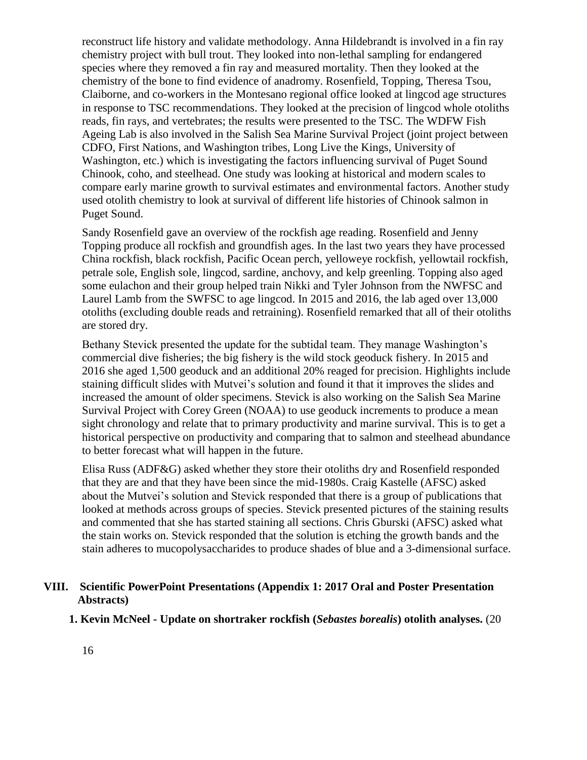reconstruct life history and validate methodology. Anna Hildebrandt is involved in a fin ray chemistry project with bull trout. They looked into non-lethal sampling for endangered species where they removed a fin ray and measured mortality. Then they looked at the chemistry of the bone to find evidence of anadromy. Rosenfield, Topping, Theresa Tsou, Claiborne, and co-workers in the Montesano regional office looked at lingcod age structures in response to TSC recommendations. They looked at the precision of lingcod whole otoliths reads, fin rays, and vertebrates; the results were presented to the TSC. The WDFW Fish Ageing Lab is also involved in the Salish Sea Marine Survival Project (joint project between CDFO, First Nations, and Washington tribes, Long Live the Kings, University of Washington, etc.) which is investigating the factors influencing survival of Puget Sound Chinook, coho, and steelhead. One study was looking at historical and modern scales to compare early marine growth to survival estimates and environmental factors. Another study used otolith chemistry to look at survival of different life histories of Chinook salmon in Puget Sound.

Sandy Rosenfield gave an overview of the rockfish age reading. Rosenfield and Jenny Topping produce all rockfish and groundfish ages. In the last two years they have processed China rockfish, black rockfish, Pacific Ocean perch, yelloweye rockfish, yellowtail rockfish, petrale sole, English sole, lingcod, sardine, anchovy, and kelp greenling. Topping also aged some eulachon and their group helped train Nikki and Tyler Johnson from the NWFSC and Laurel Lamb from the SWFSC to age lingcod. In 2015 and 2016, the lab aged over 13,000 otoliths (excluding double reads and retraining). Rosenfield remarked that all of their otoliths are stored dry.

Bethany Stevick presented the update for the subtidal team. They manage Washington's commercial dive fisheries; the big fishery is the wild stock geoduck fishery. In 2015 and 2016 she aged 1,500 geoduck and an additional 20% reaged for precision. Highlights include staining difficult slides with Mutvei's solution and found it that it improves the slides and increased the amount of older specimens. Stevick is also working on the Salish Sea Marine Survival Project with Corey Green (NOAA) to use geoduck increments to produce a mean sight chronology and relate that to primary productivity and marine survival. This is to get a historical perspective on productivity and comparing that to salmon and steelhead abundance to better forecast what will happen in the future.

Elisa Russ (ADF&G) asked whether they store their otoliths dry and Rosenfield responded that they are and that they have been since the mid-1980s. Craig Kastelle (AFSC) asked about the Mutvei's solution and Stevick responded that there is a group of publications that looked at methods across groups of species. Stevick presented pictures of the staining results and commented that she has started staining all sections. Chris Gburski (AFSC) asked what the stain works on. Stevick responded that the solution is etching the growth bands and the stain adheres to mucopolysaccharides to produce shades of blue and a 3-dimensional surface.

### **VIII. Scientific PowerPoint Presentations (Appendix 1: 2017 Oral and Poster Presentation Abstracts)**

**1. Kevin McNeel - Update on shortraker rockfish (***Sebastes borealis***) otolith analyses.** (20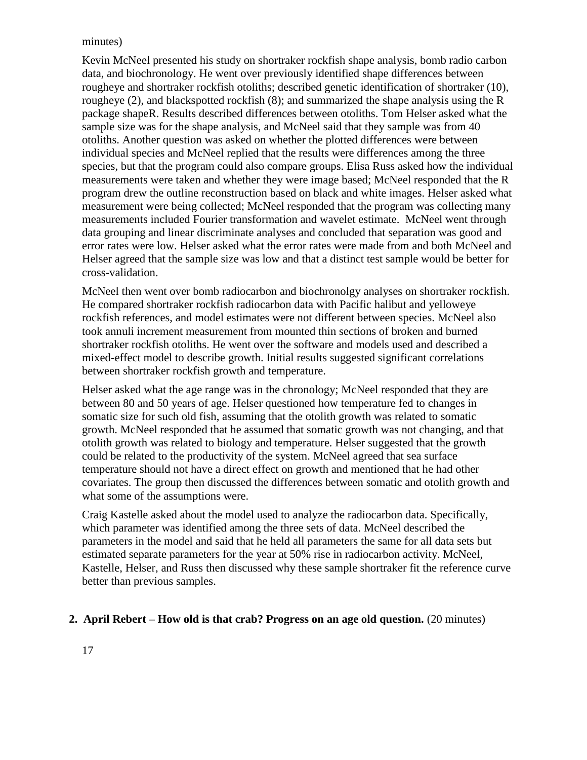#### minutes)

Kevin McNeel presented his study on shortraker rockfish shape analysis, bomb radio carbon data, and biochronology. He went over previously identified shape differences between rougheye and shortraker rockfish otoliths; described genetic identification of shortraker (10), rougheye (2), and blackspotted rockfish (8); and summarized the shape analysis using the R package shapeR. Results described differences between otoliths. Tom Helser asked what the sample size was for the shape analysis, and McNeel said that they sample was from 40 otoliths. Another question was asked on whether the plotted differences were between individual species and McNeel replied that the results were differences among the three species, but that the program could also compare groups. Elisa Russ asked how the individual measurements were taken and whether they were image based; McNeel responded that the R program drew the outline reconstruction based on black and white images. Helser asked what measurement were being collected; McNeel responded that the program was collecting many measurements included Fourier transformation and wavelet estimate. McNeel went through data grouping and linear discriminate analyses and concluded that separation was good and error rates were low. Helser asked what the error rates were made from and both McNeel and Helser agreed that the sample size was low and that a distinct test sample would be better for cross-validation.

McNeel then went over bomb radiocarbon and biochronolgy analyses on shortraker rockfish. He compared shortraker rockfish radiocarbon data with Pacific halibut and yelloweye rockfish references, and model estimates were not different between species. McNeel also took annuli increment measurement from mounted thin sections of broken and burned shortraker rockfish otoliths. He went over the software and models used and described a mixed-effect model to describe growth. Initial results suggested significant correlations between shortraker rockfish growth and temperature.

Helser asked what the age range was in the chronology; McNeel responded that they are between 80 and 50 years of age. Helser questioned how temperature fed to changes in somatic size for such old fish, assuming that the otolith growth was related to somatic growth. McNeel responded that he assumed that somatic growth was not changing, and that otolith growth was related to biology and temperature. Helser suggested that the growth could be related to the productivity of the system. McNeel agreed that sea surface temperature should not have a direct effect on growth and mentioned that he had other covariates. The group then discussed the differences between somatic and otolith growth and what some of the assumptions were.

Craig Kastelle asked about the model used to analyze the radiocarbon data. Specifically, which parameter was identified among the three sets of data. McNeel described the parameters in the model and said that he held all parameters the same for all data sets but estimated separate parameters for the year at 50% rise in radiocarbon activity. McNeel, Kastelle, Helser, and Russ then discussed why these sample shortraker fit the reference curve better than previous samples.

#### **2. April Rebert – How old is that crab? Progress on an age old question.** (20 minutes)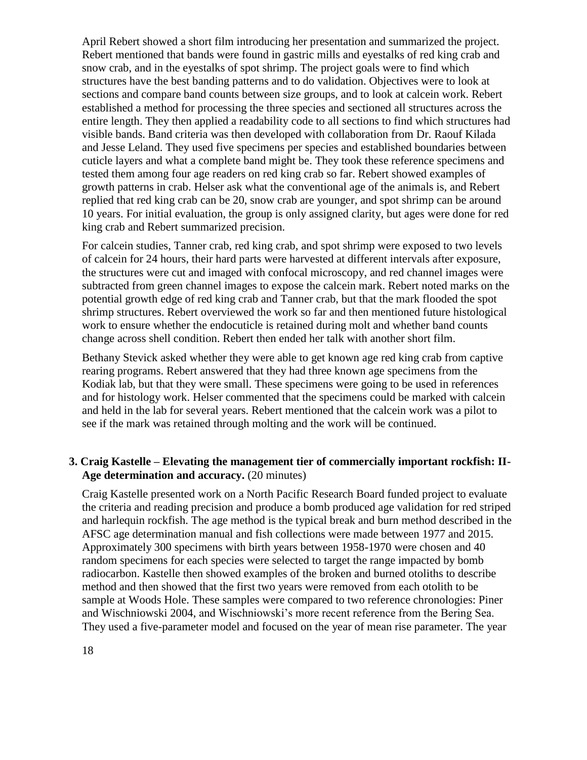April Rebert showed a short film introducing her presentation and summarized the project. Rebert mentioned that bands were found in gastric mills and eyestalks of red king crab and snow crab, and in the eyestalks of spot shrimp. The project goals were to find which structures have the best banding patterns and to do validation. Objectives were to look at sections and compare band counts between size groups, and to look at calcein work. Rebert established a method for processing the three species and sectioned all structures across the entire length. They then applied a readability code to all sections to find which structures had visible bands. Band criteria was then developed with collaboration from Dr. Raouf Kilada and Jesse Leland. They used five specimens per species and established boundaries between cuticle layers and what a complete band might be. They took these reference specimens and tested them among four age readers on red king crab so far. Rebert showed examples of growth patterns in crab. Helser ask what the conventional age of the animals is, and Rebert replied that red king crab can be 20, snow crab are younger, and spot shrimp can be around 10 years. For initial evaluation, the group is only assigned clarity, but ages were done for red king crab and Rebert summarized precision.

For calcein studies, Tanner crab, red king crab, and spot shrimp were exposed to two levels of calcein for 24 hours, their hard parts were harvested at different intervals after exposure, the structures were cut and imaged with confocal microscopy, and red channel images were subtracted from green channel images to expose the calcein mark. Rebert noted marks on the potential growth edge of red king crab and Tanner crab, but that the mark flooded the spot shrimp structures. Rebert overviewed the work so far and then mentioned future histological work to ensure whether the endocuticle is retained during molt and whether band counts change across shell condition. Rebert then ended her talk with another short film.

Bethany Stevick asked whether they were able to get known age red king crab from captive rearing programs. Rebert answered that they had three known age specimens from the Kodiak lab, but that they were small. These specimens were going to be used in references and for histology work. Helser commented that the specimens could be marked with calcein and held in the lab for several years. Rebert mentioned that the calcein work was a pilot to see if the mark was retained through molting and the work will be continued.

### **3. Craig Kastelle – Elevating the management tier of commercially important rockfish: II-Age determination and accuracy.** (20 minutes)

Craig Kastelle presented work on a North Pacific Research Board funded project to evaluate the criteria and reading precision and produce a bomb produced age validation for red striped and harlequin rockfish. The age method is the typical break and burn method described in the AFSC age determination manual and fish collections were made between 1977 and 2015. Approximately 300 specimens with birth years between 1958-1970 were chosen and 40 random specimens for each species were selected to target the range impacted by bomb radiocarbon. Kastelle then showed examples of the broken and burned otoliths to describe method and then showed that the first two years were removed from each otolith to be sample at Woods Hole. These samples were compared to two reference chronologies: Piner and Wischniowski 2004, and Wischniowski's more recent reference from the Bering Sea. They used a five-parameter model and focused on the year of mean rise parameter. The year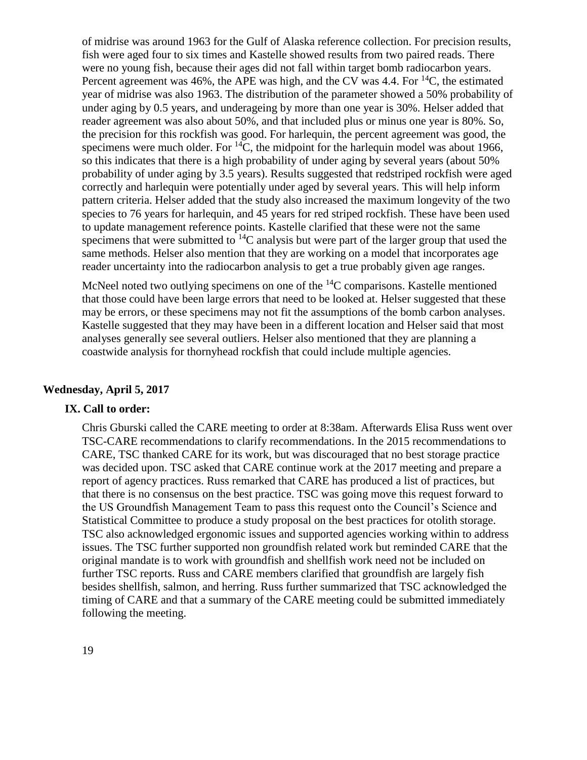of midrise was around 1963 for the Gulf of Alaska reference collection. For precision results, fish were aged four to six times and Kastelle showed results from two paired reads. There were no young fish, because their ages did not fall within target bomb radiocarbon years. Percent agreement was 46%, the APE was high, and the CV was 4.4. For  ${}^{14}C$ , the estimated year of midrise was also 1963. The distribution of the parameter showed a 50% probability of under aging by 0.5 years, and underageing by more than one year is 30%. Helser added that reader agreement was also about 50%, and that included plus or minus one year is 80%. So, the precision for this rockfish was good. For harlequin, the percent agreement was good, the specimens were much older. For  ${}^{14}C$ , the midpoint for the harlequin model was about 1966, so this indicates that there is a high probability of under aging by several years (about 50% probability of under aging by 3.5 years). Results suggested that redstriped rockfish were aged correctly and harlequin were potentially under aged by several years. This will help inform pattern criteria. Helser added that the study also increased the maximum longevity of the two species to 76 years for harlequin, and 45 years for red striped rockfish. These have been used to update management reference points. Kastelle clarified that these were not the same specimens that were submitted to  ${}^{14}C$  analysis but were part of the larger group that used the same methods. Helser also mention that they are working on a model that incorporates age reader uncertainty into the radiocarbon analysis to get a true probably given age ranges.

McNeel noted two outlying specimens on one of the <sup>14</sup>C comparisons. Kastelle mentioned that those could have been large errors that need to be looked at. Helser suggested that these may be errors, or these specimens may not fit the assumptions of the bomb carbon analyses. Kastelle suggested that they may have been in a different location and Helser said that most analyses generally see several outliers. Helser also mentioned that they are planning a coastwide analysis for thornyhead rockfish that could include multiple agencies.

#### **Wednesday, April 5, 2017**

### **IX. Call to order:**

Chris Gburski called the CARE meeting to order at 8:38am. Afterwards Elisa Russ went over TSC-CARE recommendations to clarify recommendations. In the 2015 recommendations to CARE, TSC thanked CARE for its work, but was discouraged that no best storage practice was decided upon. TSC asked that CARE continue work at the 2017 meeting and prepare a report of agency practices. Russ remarked that CARE has produced a list of practices, but that there is no consensus on the best practice. TSC was going move this request forward to the US Groundfish Management Team to pass this request onto the Council's Science and Statistical Committee to produce a study proposal on the best practices for otolith storage. TSC also acknowledged ergonomic issues and supported agencies working within to address issues. The TSC further supported non groundfish related work but reminded CARE that the original mandate is to work with groundfish and shellfish work need not be included on further TSC reports. Russ and CARE members clarified that groundfish are largely fish besides shellfish, salmon, and herring. Russ further summarized that TSC acknowledged the timing of CARE and that a summary of the CARE meeting could be submitted immediately following the meeting.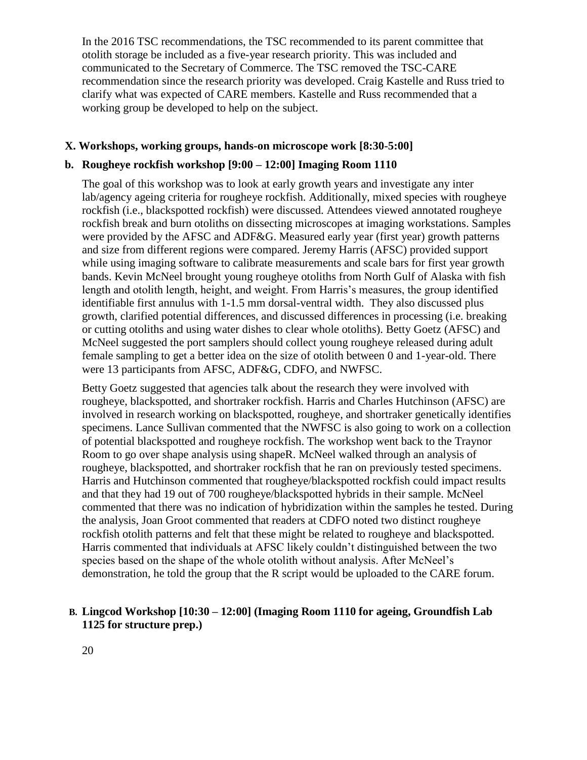In the 2016 TSC recommendations, the TSC recommended to its parent committee that otolith storage be included as a five-year research priority. This was included and communicated to the Secretary of Commerce. The TSC removed the TSC-CARE recommendation since the research priority was developed. Craig Kastelle and Russ tried to clarify what was expected of CARE members. Kastelle and Russ recommended that a working group be developed to help on the subject.

#### **X. Workshops, working groups, hands-on microscope work [8:30-5:00]**

#### **b. Rougheye rockfish workshop [9:00 – 12:00] Imaging Room 1110**

The goal of this workshop was to look at early growth years and investigate any inter lab/agency ageing criteria for rougheye rockfish. Additionally, mixed species with rougheye rockfish (i.e., blackspotted rockfish) were discussed. Attendees viewed annotated rougheye rockfish break and burn otoliths on dissecting microscopes at imaging workstations. Samples were provided by the AFSC and ADF&G. Measured early year (first year) growth patterns and size from different regions were compared. Jeremy Harris (AFSC) provided support while using imaging software to calibrate measurements and scale bars for first year growth bands. Kevin McNeel brought young rougheye otoliths from North Gulf of Alaska with fish length and otolith length, height, and weight. From Harris's measures, the group identified identifiable first annulus with 1-1.5 mm dorsal-ventral width. They also discussed plus growth, clarified potential differences, and discussed differences in processing (i.e. breaking or cutting otoliths and using water dishes to clear whole otoliths). Betty Goetz (AFSC) and McNeel suggested the port samplers should collect young rougheye released during adult female sampling to get a better idea on the size of otolith between 0 and 1-year-old. There were 13 participants from AFSC, ADF&G, CDFO, and NWFSC.

Betty Goetz suggested that agencies talk about the research they were involved with rougheye, blackspotted, and shortraker rockfish. Harris and Charles Hutchinson (AFSC) are involved in research working on blackspotted, rougheye, and shortraker genetically identifies specimens. Lance Sullivan commented that the NWFSC is also going to work on a collection of potential blackspotted and rougheye rockfish. The workshop went back to the Traynor Room to go over shape analysis using shapeR. McNeel walked through an analysis of rougheye, blackspotted, and shortraker rockfish that he ran on previously tested specimens. Harris and Hutchinson commented that rougheye/blackspotted rockfish could impact results and that they had 19 out of 700 rougheye/blackspotted hybrids in their sample. McNeel commented that there was no indication of hybridization within the samples he tested. During the analysis, Joan Groot commented that readers at CDFO noted two distinct rougheye rockfish otolith patterns and felt that these might be related to rougheye and blackspotted. Harris commented that individuals at AFSC likely couldn't distinguished between the two species based on the shape of the whole otolith without analysis. After McNeel's demonstration, he told the group that the R script would be uploaded to the CARE forum.

### **B. Lingcod Workshop [10:30 – 12:00] (Imaging Room 1110 for ageing, Groundfish Lab 1125 for structure prep.)**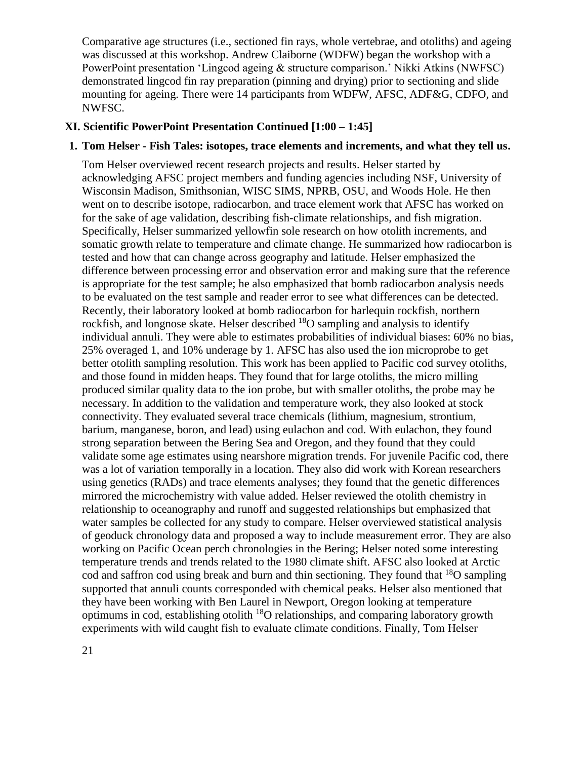Comparative age structures (i.e., sectioned fin rays, whole vertebrae, and otoliths) and ageing was discussed at this workshop. Andrew Claiborne (WDFW) began the workshop with a PowerPoint presentation 'Lingcod ageing & structure comparison.' Nikki Atkins (NWFSC) demonstrated lingcod fin ray preparation (pinning and drying) prior to sectioning and slide mounting for ageing. There were 14 participants from WDFW, AFSC, ADF&G, CDFO, and NWFSC.

# **XI. Scientific PowerPoint Presentation Continued [1:00 – 1:45]**

### **1. Tom Helser - Fish Tales: isotopes, trace elements and increments, and what they tell us.**

Tom Helser overviewed recent research projects and results. Helser started by acknowledging AFSC project members and funding agencies including NSF, University of Wisconsin Madison, Smithsonian, WISC SIMS, NPRB, OSU, and Woods Hole. He then went on to describe isotope, radiocarbon, and trace element work that AFSC has worked on for the sake of age validation, describing fish-climate relationships, and fish migration. Specifically, Helser summarized yellowfin sole research on how otolith increments, and somatic growth relate to temperature and climate change. He summarized how radiocarbon is tested and how that can change across geography and latitude. Helser emphasized the difference between processing error and observation error and making sure that the reference is appropriate for the test sample; he also emphasized that bomb radiocarbon analysis needs to be evaluated on the test sample and reader error to see what differences can be detected. Recently, their laboratory looked at bomb radiocarbon for harlequin rockfish, northern rockfish, and longnose skate. Helser described <sup>18</sup>O sampling and analysis to identify individual annuli. They were able to estimates probabilities of individual biases: 60% no bias, 25% overaged 1, and 10% underage by 1. AFSC has also used the ion microprobe to get better otolith sampling resolution. This work has been applied to Pacific cod survey otoliths, and those found in midden heaps. They found that for large otoliths, the micro milling produced similar quality data to the ion probe, but with smaller otoliths, the probe may be necessary. In addition to the validation and temperature work, they also looked at stock connectivity. They evaluated several trace chemicals (lithium, magnesium, strontium, barium, manganese, boron, and lead) using eulachon and cod. With eulachon, they found strong separation between the Bering Sea and Oregon, and they found that they could validate some age estimates using nearshore migration trends. For juvenile Pacific cod, there was a lot of variation temporally in a location. They also did work with Korean researchers using genetics (RADs) and trace elements analyses; they found that the genetic differences mirrored the microchemistry with value added. Helser reviewed the otolith chemistry in relationship to oceanography and runoff and suggested relationships but emphasized that water samples be collected for any study to compare. Helser overviewed statistical analysis of geoduck chronology data and proposed a way to include measurement error. They are also working on Pacific Ocean perch chronologies in the Bering; Helser noted some interesting temperature trends and trends related to the 1980 climate shift. AFSC also looked at Arctic cod and saffron cod using break and burn and thin sectioning. They found that  $^{18}O$  sampling supported that annuli counts corresponded with chemical peaks. Helser also mentioned that they have been working with Ben Laurel in Newport, Oregon looking at temperature optimums in cod, establishing otolith  $^{18}O$  relationships, and comparing laboratory growth experiments with wild caught fish to evaluate climate conditions. Finally, Tom Helser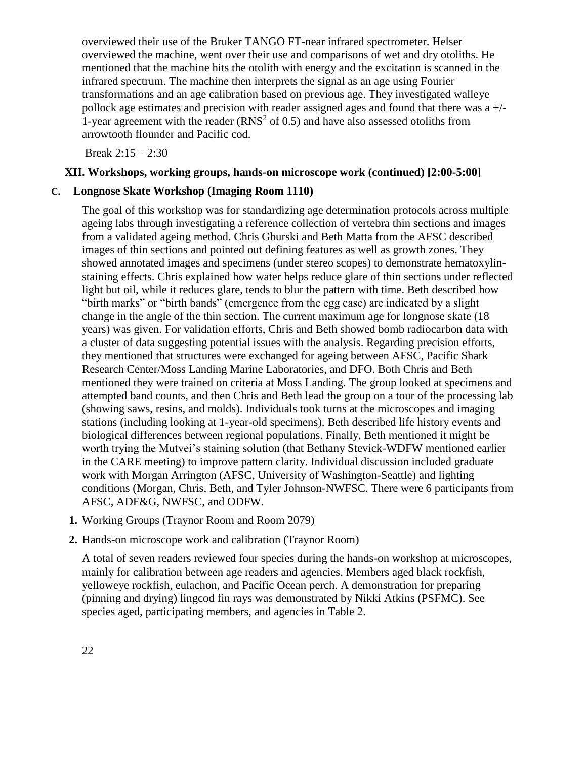overviewed their use of the Bruker TANGO FT-near infrared spectrometer. Helser overviewed the machine, went over their use and comparisons of wet and dry otoliths. He mentioned that the machine hits the otolith with energy and the excitation is scanned in the infrared spectrum. The machine then interprets the signal as an age using Fourier transformations and an age calibration based on previous age. They investigated walleye pollock age estimates and precision with reader assigned ages and found that there was a +/- 1-year agreement with the reader  $(RNS<sup>2</sup>$  of 0.5) and have also assessed otoliths from arrowtooth flounder and Pacific cod.

Break 2:15 – 2:30

#### **XII. Workshops, working groups, hands-on microscope work (continued) [2:00-5:00]**

#### **C. Longnose Skate Workshop (Imaging Room 1110)**

The goal of this workshop was for standardizing age determination protocols across multiple ageing labs through investigating a reference collection of vertebra thin sections and images from a validated ageing method. Chris Gburski and Beth Matta from the AFSC described images of thin sections and pointed out defining features as well as growth zones. They showed annotated images and specimens (under stereo scopes) to demonstrate hematoxylinstaining effects. Chris explained how water helps reduce glare of thin sections under reflected light but oil, while it reduces glare, tends to blur the pattern with time. Beth described how "birth marks" or "birth bands" (emergence from the egg case) are indicated by a slight change in the angle of the thin section. The current maximum age for longnose skate (18 years) was given. For validation efforts, Chris and Beth showed bomb radiocarbon data with a cluster of data suggesting potential issues with the analysis. Regarding precision efforts, they mentioned that structures were exchanged for ageing between AFSC, Pacific Shark Research Center/Moss Landing Marine Laboratories, and DFO. Both Chris and Beth mentioned they were trained on criteria at Moss Landing. The group looked at specimens and attempted band counts, and then Chris and Beth lead the group on a tour of the processing lab (showing saws, resins, and molds). Individuals took turns at the microscopes and imaging stations (including looking at 1-year-old specimens). Beth described life history events and biological differences between regional populations. Finally, Beth mentioned it might be worth trying the Mutvei's staining solution (that Bethany Stevick-WDFW mentioned earlier in the CARE meeting) to improve pattern clarity. Individual discussion included graduate work with Morgan Arrington (AFSC, University of Washington-Seattle) and lighting conditions (Morgan, Chris, Beth, and Tyler Johnson-NWFSC. There were 6 participants from AFSC, ADF&G, NWFSC, and ODFW.

- **1.** Working Groups (Traynor Room and Room 2079)
- **2.** Hands-on microscope work and calibration (Traynor Room)

A total of seven readers reviewed four species during the hands-on workshop at microscopes, mainly for calibration between age readers and agencies. Members aged black rockfish, yelloweye rockfish, eulachon, and Pacific Ocean perch. A demonstration for preparing (pinning and drying) lingcod fin rays was demonstrated by Nikki Atkins (PSFMC). See species aged, participating members, and agencies in Table 2.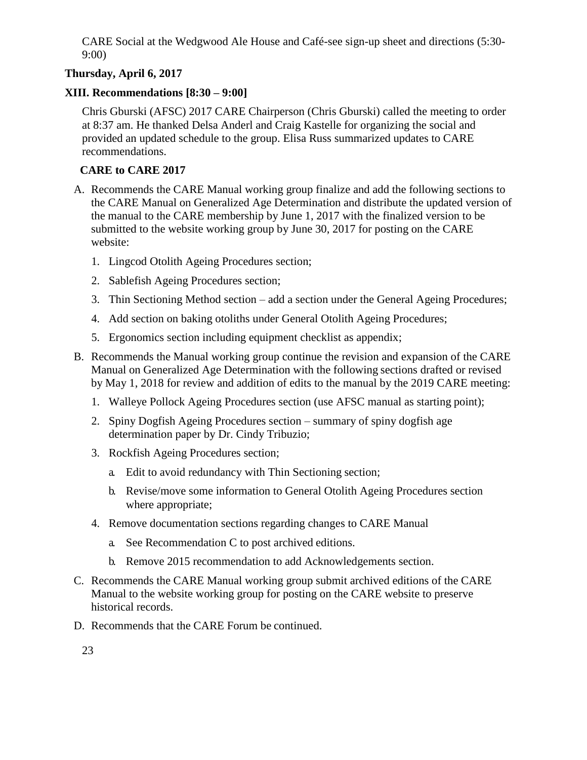CARE Social at the Wedgwood Ale House and Café-see sign-up sheet and directions (5:30- 9:00)

# **Thursday, April 6, 2017**

## **XIII. Recommendations [8:30 – 9:00]**

Chris Gburski (AFSC) 2017 CARE Chairperson (Chris Gburski) called the meeting to order at 8:37 am. He thanked Delsa Anderl and Craig Kastelle for organizing the social and provided an updated schedule to the group. Elisa Russ summarized updates to CARE recommendations.

## **CARE to CARE 2017**

- A. Recommends the CARE Manual working group finalize and add the following sections to the CARE Manual on Generalized Age Determination and distribute the updated version of the manual to the CARE membership by June 1, 2017 with the finalized version to be submitted to the website working group by June 30, 2017 for posting on the CARE website:
	- 1. Lingcod Otolith Ageing Procedures section;
	- 2. Sablefish Ageing Procedures section;
	- 3. Thin Sectioning Method section add a section under the General Ageing Procedures;
	- 4. Add section on baking otoliths under General Otolith Ageing Procedures;
	- 5. Ergonomics section including equipment checklist as appendix;
- B. Recommends the Manual working group continue the revision and expansion of the CARE Manual on Generalized Age Determination with the following sections drafted or revised by May 1, 2018 for review and addition of edits to the manual by the 2019 CARE meeting:
	- 1. Walleye Pollock Ageing Procedures section (use AFSC manual as starting point);
	- 2. Spiny Dogfish Ageing Procedures section summary of spiny dogfish age determination paper by Dr. Cindy Tribuzio;
	- 3. Rockfish Ageing Procedures section;
		- a. Edit to avoid redundancy with Thin Sectioning section;
		- b. Revise/move some information to General Otolith Ageing Procedures section where appropriate;
	- 4. Remove documentation sections regarding changes to CARE Manual
		- a. See Recommendation C to post archived editions.
		- b. Remove 2015 recommendation to add Acknowledgements section.
- C. Recommends the CARE Manual working group submit archived editions of the CARE Manual to the website working group for posting on the CARE website to preserve historical records.
- D. Recommends that the CARE Forum be continued.
	- 23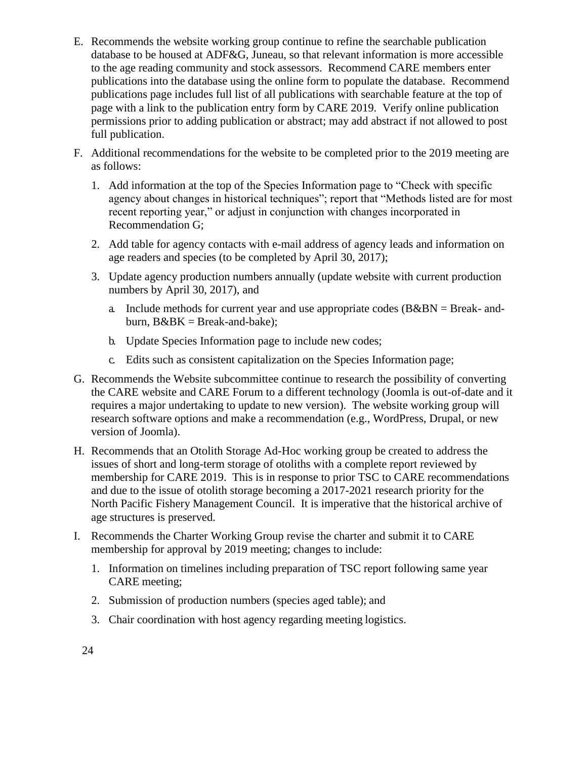- E. Recommends the website working group continue to refine the searchable publication database to be housed at ADF&G, Juneau, so that relevant information is more accessible to the age reading community and stock assessors. Recommend CARE members enter publications into the database using the online form to populate the database. Recommend publications page includes full list of all publications with searchable feature at the top of page with a link to the publication entry form by CARE 2019. Verify online publication permissions prior to adding publication or abstract; may add abstract if not allowed to post full publication.
- F. Additional recommendations for the website to be completed prior to the 2019 meeting are as follows:
	- 1. Add information at the top of the Species Information page to "Check with specific agency about changes in historical techniques"; report that "Methods listed are for most recent reporting year," or adjust in conjunction with changes incorporated in Recommendation G;
	- 2. Add table for agency contacts with e-mail address of agency leads and information on age readers and species (to be completed by April 30, 2017);
	- 3. Update agency production numbers annually (update website with current production numbers by April 30, 2017), and
		- a. Include methods for current year and use appropriate codes  $(B&BN = Break-$  andburn,  $B\&BK = Break-and-bake$ ;
		- b. Update Species Information page to include new codes;
		- c. Edits such as consistent capitalization on the Species Information page;
- G. Recommends the Website subcommittee continue to research the possibility of converting the CARE website and CARE Forum to a different technology (Joomla is out-of-date and it requires a major undertaking to update to new version). The website working group will research software options and make a recommendation (e.g., WordPress, Drupal, or new version of Joomla).
- H. Recommends that an Otolith Storage Ad-Hoc working group be created to address the issues of short and long-term storage of otoliths with a complete report reviewed by membership for CARE 2019. This is in response to prior TSC to CARE recommendations and due to the issue of otolith storage becoming a 2017-2021 research priority for the North Pacific Fishery Management Council. It is imperative that the historical archive of age structures is preserved.
- I. Recommends the Charter Working Group revise the charter and submit it to CARE membership for approval by 2019 meeting; changes to include:
	- 1. Information on timelines including preparation of TSC report following same year CARE meeting;
	- 2. Submission of production numbers (species aged table); and
	- 3. Chair coordination with host agency regarding meeting logistics.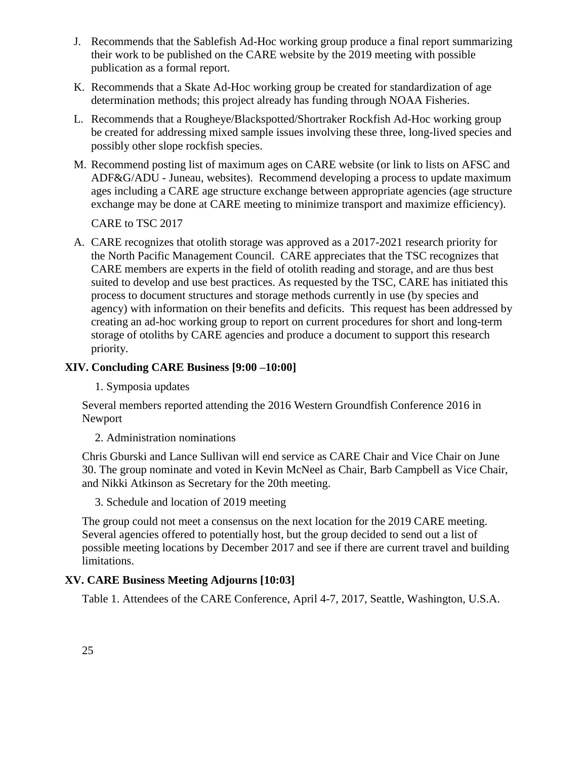- J. Recommends that the Sablefish Ad-Hoc working group produce a final report summarizing their work to be published on the CARE website by the 2019 meeting with possible publication as a formal report.
- K. Recommends that a Skate Ad-Hoc working group be created for standardization of age determination methods; this project already has funding through NOAA Fisheries.
- L. Recommends that a Rougheye/Blackspotted/Shortraker Rockfish Ad-Hoc working group be created for addressing mixed sample issues involving these three, long-lived species and possibly other slope rockfish species.
- M. Recommend posting list of maximum ages on CARE website (or link to lists on AFSC and ADF&G/ADU - Juneau, websites). Recommend developing a process to update maximum ages including a CARE age structure exchange between appropriate agencies (age structure exchange may be done at CARE meeting to minimize transport and maximize efficiency).

CARE to TSC 2017

A. CARE recognizes that otolith storage was approved as a 2017-2021 research priority for the North Pacific Management Council. CARE appreciates that the TSC recognizes that CARE members are experts in the field of otolith reading and storage, and are thus best suited to develop and use best practices. As requested by the TSC, CARE has initiated this process to document structures and storage methods currently in use (by species and agency) with information on their benefits and deficits. This request has been addressed by creating an ad-hoc working group to report on current procedures for short and long-term storage of otoliths by CARE agencies and produce a document to support this research priority.

## **XIV. Concluding CARE Business [9:00 –10:00]**

1. Symposia updates

Several members reported attending the 2016 Western Groundfish Conference 2016 in Newport

2. Administration nominations

Chris Gburski and Lance Sullivan will end service as CARE Chair and Vice Chair on June 30. The group nominate and voted in Kevin McNeel as Chair, Barb Campbell as Vice Chair, and Nikki Atkinson as Secretary for the 20th meeting.

3. Schedule and location of 2019 meeting

The group could not meet a consensus on the next location for the 2019 CARE meeting. Several agencies offered to potentially host, but the group decided to send out a list of possible meeting locations by December 2017 and see if there are current travel and building limitations.

## **XV. CARE Business Meeting Adjourns [10:03]**

Table 1. Attendees of the CARE Conference, April 4-7, 2017, Seattle, Washington, U.S.A.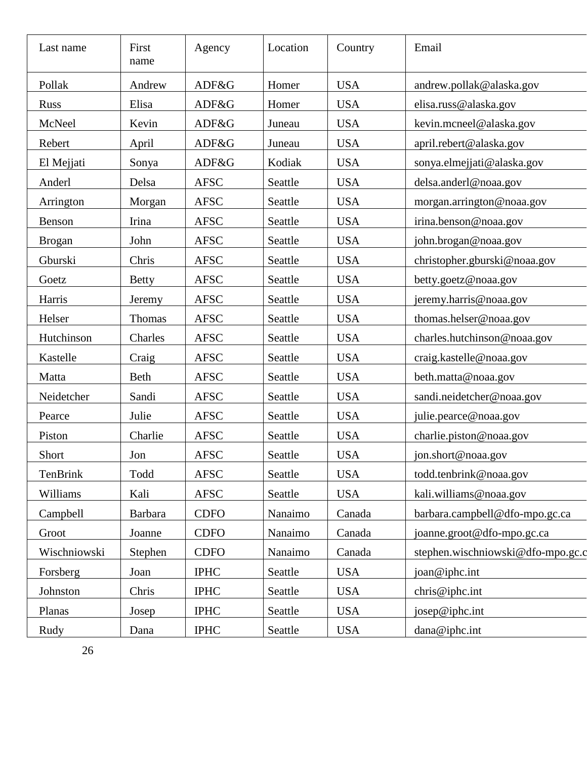| Last name     | First<br>name  | Agency      | Location | Country    | Email                             |  |
|---------------|----------------|-------------|----------|------------|-----------------------------------|--|
| Pollak        | Andrew         | ADF&G       | Homer    | <b>USA</b> | andrew.pollak@alaska.gov          |  |
| <b>Russ</b>   | Elisa          | ADF&G       | Homer    | <b>USA</b> | elisa.russ@alaska.gov             |  |
| McNeel        | Kevin          | ADF&G       | Juneau   | <b>USA</b> | kevin.mcneel@alaska.gov           |  |
| Rebert        | April          | ADF&G       | Juneau   | <b>USA</b> | april.rebert@alaska.gov           |  |
| El Mejjati    | Sonya          | ADF&G       | Kodiak   | <b>USA</b> | sonya.elmejjati@alaska.gov        |  |
| Anderl        | Delsa          | <b>AFSC</b> | Seattle  | <b>USA</b> | delsa.anderl@noaa.gov             |  |
| Arrington     | Morgan         | <b>AFSC</b> | Seattle  | <b>USA</b> | morgan.arrington@noaa.gov         |  |
| Benson        | Irina          | <b>AFSC</b> | Seattle  | <b>USA</b> | irina.benson@noaa.gov             |  |
| <b>Brogan</b> | John           | <b>AFSC</b> | Seattle  | <b>USA</b> | john.brogan@noaa.gov              |  |
| Gburski       | Chris          | <b>AFSC</b> | Seattle  | <b>USA</b> | christopher.gburski@noaa.gov      |  |
| Goetz         | <b>Betty</b>   | <b>AFSC</b> | Seattle  | <b>USA</b> | betty.goetz@noaa.gov              |  |
| Harris        | Jeremy         | <b>AFSC</b> | Seattle  | <b>USA</b> | jeremy.harris@noaa.gov            |  |
| Helser        | Thomas         | <b>AFSC</b> | Seattle  | <b>USA</b> | thomas.helser@noaa.gov            |  |
| Hutchinson    | Charles        | <b>AFSC</b> | Seattle  | <b>USA</b> | charles.hutchinson@noaa.gov       |  |
| Kastelle      | Craig          | <b>AFSC</b> | Seattle  | <b>USA</b> | craig.kastelle@noaa.gov           |  |
| Matta         | Beth           | <b>AFSC</b> | Seattle  | <b>USA</b> | beth.matta@noaa.gov               |  |
| Neidetcher    | Sandi          | <b>AFSC</b> | Seattle  | <b>USA</b> | sandi.neidetcher@noaa.gov         |  |
| Pearce        | Julie          | <b>AFSC</b> | Seattle  | <b>USA</b> | julie.pearce@noaa.gov             |  |
| Piston        | Charlie        | <b>AFSC</b> | Seattle  | <b>USA</b> | charlie.piston@noaa.gov           |  |
| Short         | Jon            | <b>AFSC</b> | Seattle  | <b>USA</b> | jon.short@noaa.gov                |  |
| TenBrink      | Todd           | <b>AFSC</b> | Seattle  | <b>USA</b> | todd.tenbrink@noaa.gov            |  |
| Williams      | Kali           | <b>AFSC</b> | Seattle  | <b>USA</b> | kali.williams@noaa.gov            |  |
| Campbell      | <b>Barbara</b> | <b>CDFO</b> | Nanaimo  | Canada     | barbara.campbell@dfo-mpo.gc.ca    |  |
| Groot         | Joanne         | <b>CDFO</b> | Nanaimo  | Canada     | joanne.groot@dfo-mpo.gc.ca        |  |
| Wischniowski  | Stephen        | <b>CDFO</b> | Nanaimo  | Canada     | stephen.wischniowski@dfo-mpo.gc.c |  |
| Forsberg      | Joan           | <b>IPHC</b> | Seattle  | <b>USA</b> | joan@iphc.int                     |  |
| Johnston      | Chris          | <b>IPHC</b> | Seattle  | <b>USA</b> | chris@iphc.int                    |  |
| Planas        | Josep          | <b>IPHC</b> | Seattle  | <b>USA</b> | josep@iphc.int                    |  |
| Rudy          | Dana           | <b>IPHC</b> | Seattle  | <b>USA</b> | dana@iphc.int                     |  |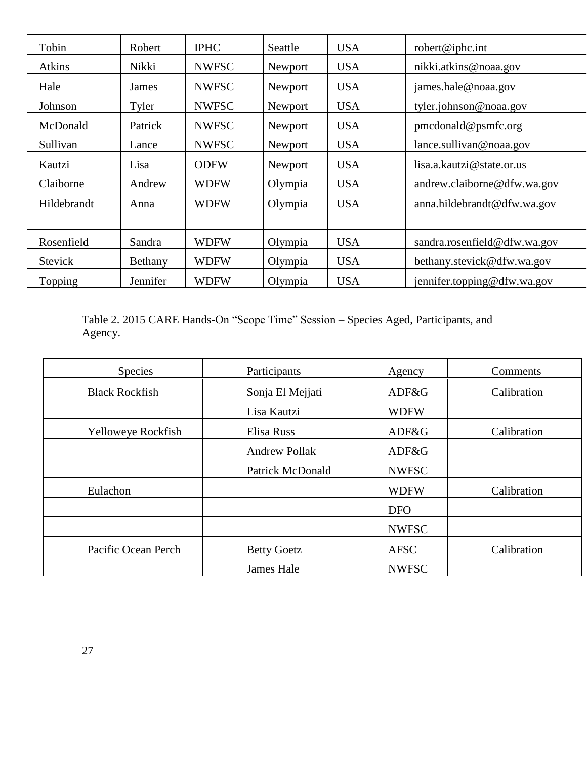| Tobin          | Robert   | <b>IPHC</b>  | Seattle | <b>USA</b> | robert@iphc.int                    |
|----------------|----------|--------------|---------|------------|------------------------------------|
| Atkins         | Nikki    | <b>NWFSC</b> | Newport | <b>USA</b> | nikki.atkins@noaa.gov              |
| Hale           | James    | <b>NWFSC</b> | Newport | <b>USA</b> | james.hale@noaa.gov                |
| Johnson        | Tyler    | <b>NWFSC</b> | Newport | <b>USA</b> | tyler.johnson@noaa.gov             |
| McDonald       | Patrick  | <b>NWFSC</b> | Newport | <b>USA</b> | $pm{\rm c}$ and $\omega$ psmfc.org |
| Sullivan       | Lance    | <b>NWFSC</b> | Newport | <b>USA</b> | lance.sullivan@noaa.gov            |
| Kautzi         | Lisa     | <b>ODFW</b>  | Newport | <b>USA</b> | lisa.a.kautzi@state.or.us          |
| Claiborne      | Andrew   | <b>WDFW</b>  | Olympia | <b>USA</b> | andrew.claiborne@dfw.wa.gov        |
| Hildebrandt    | Anna     | <b>WDFW</b>  | Olympia | <b>USA</b> | anna.hildebrandt@dfw.wa.gov        |
|                |          |              |         |            |                                    |
| Rosenfield     | Sandra   | <b>WDFW</b>  | Olympia | <b>USA</b> | sandra.rosenfield@dfw.wa.gov       |
| <b>Stevick</b> | Bethany  | <b>WDFW</b>  | Olympia | <b>USA</b> | bethany.stevick@dfw.wa.gov         |
| Topping        | Jennifer | <b>WDFW</b>  | Olympia | <b>USA</b> | jennifer.topping@dfw.wa.gov        |

Table 2. 2015 CARE Hands-On "Scope Time" Session – Species Aged, Participants, and Agency.

| <b>Species</b>        | Participants            |              | Comments    |
|-----------------------|-------------------------|--------------|-------------|
| <b>Black Rockfish</b> | Sonja El Mejjati        | ADF&G        | Calibration |
|                       | Lisa Kautzi             | <b>WDFW</b>  |             |
| Yelloweye Rockfish    | Elisa Russ              | ADF&G        | Calibration |
|                       | <b>Andrew Pollak</b>    | ADF&G        |             |
|                       | <b>Patrick McDonald</b> | <b>NWFSC</b> |             |
| Eulachon              |                         | <b>WDFW</b>  | Calibration |
|                       |                         | <b>DFO</b>   |             |
|                       |                         | <b>NWFSC</b> |             |
| Pacific Ocean Perch   | <b>Betty Goetz</b>      | <b>AFSC</b>  | Calibration |
|                       | James Hale              | <b>NWFSC</b> |             |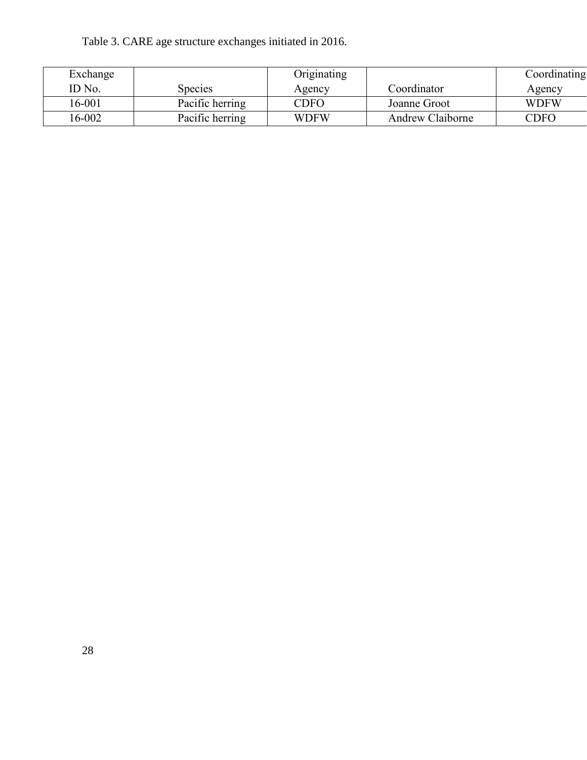Table 3. CARE age structure exchanges initiated in 2016.

| Exchange |                 | Originating              |                         | Coordinating |
|----------|-----------------|--------------------------|-------------------------|--------------|
| ID No.   | <b>Species</b>  | Agency                   | Coordinator             | Agency       |
| 16-001   | Pacific herring | $\mathbb{C}\mathrm{DFO}$ | Joanne Groot            | <b>WDFW</b>  |
| 16-002   | Pacific herring | <b>WDFW</b>              | <b>Andrew Claiborne</b> | CDFO         |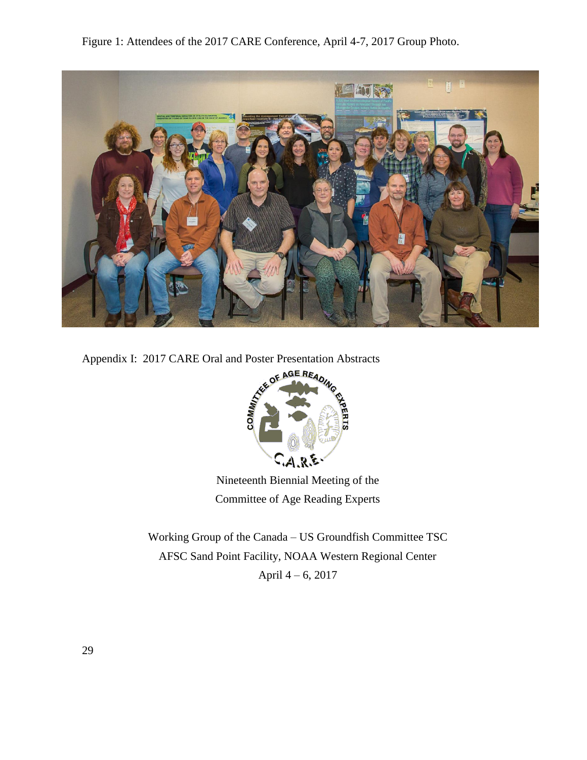Figure 1: Attendees of the 2017 CARE Conference, April 4-7, 2017 Group Photo.





Nineteenth Biennial Meeting of the Committee of Age Reading Experts

Working Group of the Canada – US Groundfish Committee TSC AFSC Sand Point Facility, NOAA Western Regional Center April 4 – 6, 2017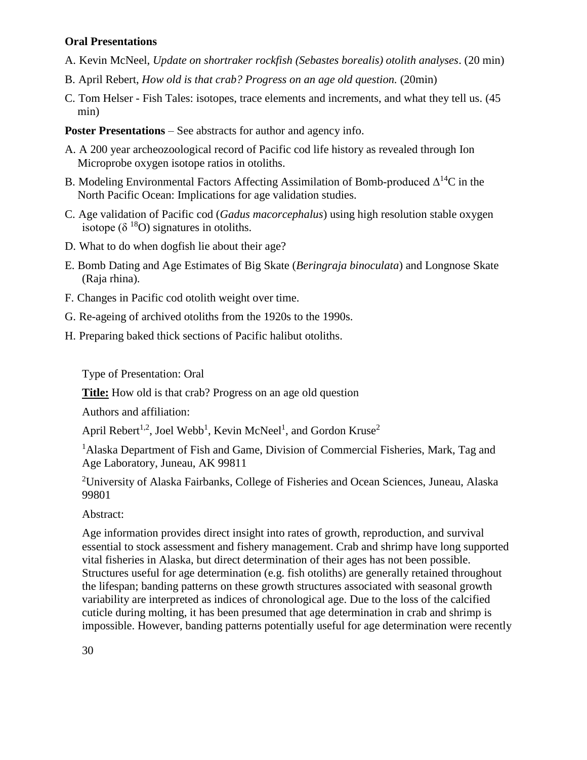## **Oral Presentations**

- A. Kevin McNeel, *Update on shortraker rockfish (Sebastes borealis) otolith analyses*. (20 min)
- B. April Rebert, *How old is that crab? Progress on an age old question.* (20min)
- C. Tom Helser Fish Tales: isotopes, trace elements and increments, and what they tell us. (45 min)

**Poster Presentations** – See abstracts for author and agency info.

- A. A 200 year archeozoological record of Pacific cod life history as revealed through Ion Microprobe oxygen isotope ratios in otoliths.
- B. Modeling Environmental Factors Affecting Assimilation of Bomb-produced  $\Delta^{14}C$  in the North Pacific Ocean: Implications for age validation studies.
- C. Age validation of Pacific cod (*Gadus macorcephalus*) using high resolution stable oxygen isotope ( $\delta^{18}$ O) signatures in otoliths.
- D. What to do when dogfish lie about their age?
- E. Bomb Dating and Age Estimates of Big Skate (*Beringraja binoculata*) and Longnose Skate (Raja rhina).
- F. Changes in Pacific cod otolith weight over time.
- G. Re-ageing of archived otoliths from the 1920s to the 1990s.
- H. Preparing baked thick sections of Pacific halibut otoliths.

Type of Presentation: Oral

**Title:** How old is that crab? Progress on an age old question

Authors and affiliation:

April Rebert<sup>1,2</sup>, Joel Webb<sup>1</sup>, Kevin McNeel<sup>1</sup>, and Gordon Kruse<sup>2</sup>

<sup>1</sup>Alaska Department of Fish and Game, Division of Commercial Fisheries, Mark, Tag and Age Laboratory, Juneau, AK 99811

<sup>2</sup>University of Alaska Fairbanks, College of Fisheries and Ocean Sciences, Juneau, Alaska 99801

Abstract:

Age information provides direct insight into rates of growth, reproduction, and survival essential to stock assessment and fishery management. Crab and shrimp have long supported vital fisheries in Alaska, but direct determination of their ages has not been possible. Structures useful for age determination (e.g. fish otoliths) are generally retained throughout the lifespan; banding patterns on these growth structures associated with seasonal growth variability are interpreted as indices of chronological age. Due to the loss of the calcified cuticle during molting, it has been presumed that age determination in crab and shrimp is impossible. However, banding patterns potentially useful for age determination were recently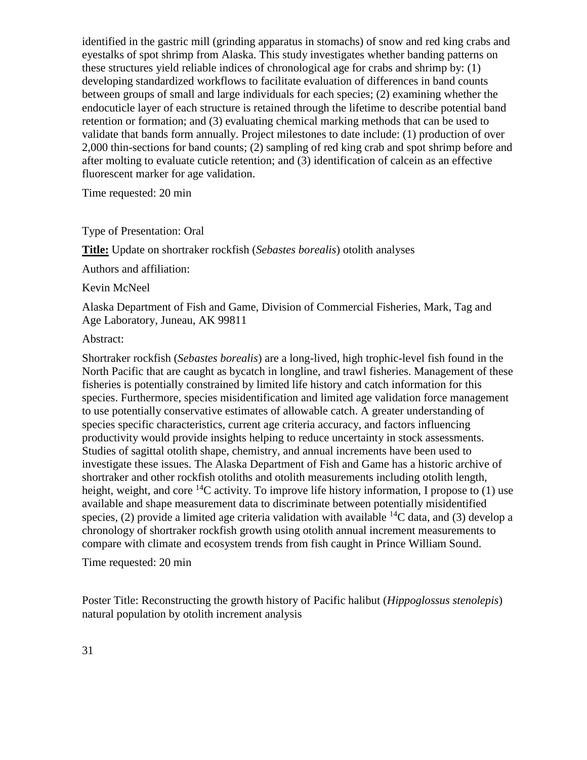identified in the gastric mill (grinding apparatus in stomachs) of snow and red king crabs and eyestalks of spot shrimp from Alaska. This study investigates whether banding patterns on these structures yield reliable indices of chronological age for crabs and shrimp by: (1) developing standardized workflows to facilitate evaluation of differences in band counts between groups of small and large individuals for each species; (2) examining whether the endocuticle layer of each structure is retained through the lifetime to describe potential band retention or formation; and (3) evaluating chemical marking methods that can be used to validate that bands form annually. Project milestones to date include: (1) production of over 2,000 thin-sections for band counts; (2) sampling of red king crab and spot shrimp before and after molting to evaluate cuticle retention; and (3) identification of calcein as an effective fluorescent marker for age validation.

Time requested: 20 min

Type of Presentation: Oral

**Title:** Update on shortraker rockfish (*Sebastes borealis*) otolith analyses

Authors and affiliation:

Kevin McNeel

Alaska Department of Fish and Game, Division of Commercial Fisheries, Mark, Tag and Age Laboratory, Juneau, AK 99811

#### Abstract:

Shortraker rockfish (*Sebastes borealis*) are a long-lived, high trophic-level fish found in the North Pacific that are caught as bycatch in longline, and trawl fisheries. Management of these fisheries is potentially constrained by limited life history and catch information for this species. Furthermore, species misidentification and limited age validation force management to use potentially conservative estimates of allowable catch. A greater understanding of species specific characteristics, current age criteria accuracy, and factors influencing productivity would provide insights helping to reduce uncertainty in stock assessments. Studies of sagittal otolith shape, chemistry, and annual increments have been used to investigate these issues. The Alaska Department of Fish and Game has a historic archive of shortraker and other rockfish otoliths and otolith measurements including otolith length, height, weight, and core <sup>14</sup>C activity. To improve life history information, I propose to (1) use available and shape measurement data to discriminate between potentially misidentified species, (2) provide a limited age criteria validation with available  ${}^{14}C$  data, and (3) develop a chronology of shortraker rockfish growth using otolith annual increment measurements to compare with climate and ecosystem trends from fish caught in Prince William Sound.

Time requested: 20 min

Poster Title: Reconstructing the growth history of Pacific halibut (*Hippoglossus stenolepis*) natural population by otolith increment analysis